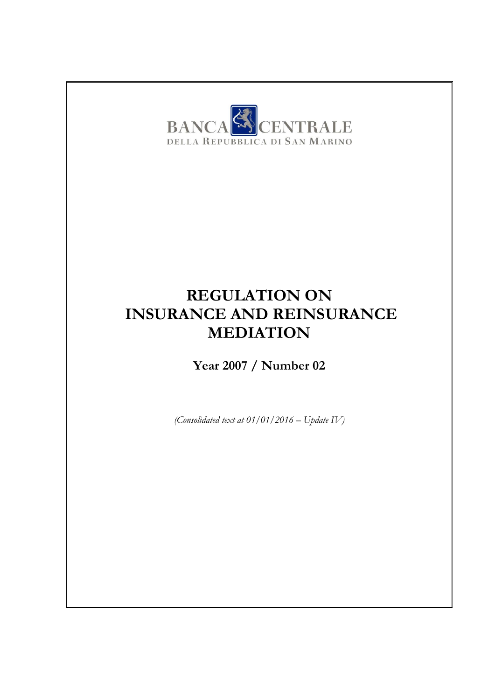

## **REGULATION ON INSURANCE AND REINSURANCE MEDIATION**

**Year 2007 / Number 02**

*(Consolidated text at 01/01/2016 – Update IV)*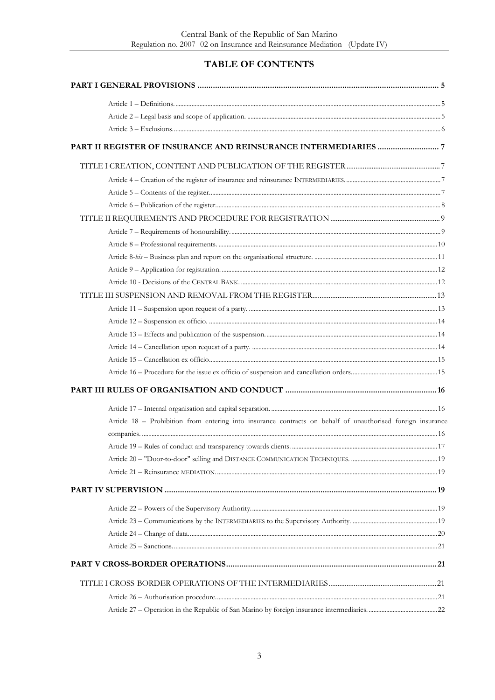### TABLE OF CONTENTS

| Article 18 - Prohibition from entering into insurance contracts on behalf of unauthorised foreign insurance |  |
|-------------------------------------------------------------------------------------------------------------|--|
|                                                                                                             |  |
|                                                                                                             |  |
|                                                                                                             |  |
|                                                                                                             |  |
|                                                                                                             |  |
|                                                                                                             |  |
|                                                                                                             |  |
|                                                                                                             |  |
|                                                                                                             |  |
|                                                                                                             |  |
|                                                                                                             |  |
|                                                                                                             |  |
|                                                                                                             |  |
|                                                                                                             |  |
|                                                                                                             |  |
|                                                                                                             |  |
|                                                                                                             |  |
|                                                                                                             |  |
|                                                                                                             |  |
|                                                                                                             |  |
|                                                                                                             |  |
|                                                                                                             |  |
|                                                                                                             |  |
|                                                                                                             |  |
|                                                                                                             |  |
|                                                                                                             |  |
|                                                                                                             |  |
|                                                                                                             |  |
|                                                                                                             |  |
|                                                                                                             |  |
|                                                                                                             |  |
|                                                                                                             |  |
|                                                                                                             |  |
|                                                                                                             |  |
|                                                                                                             |  |
|                                                                                                             |  |
|                                                                                                             |  |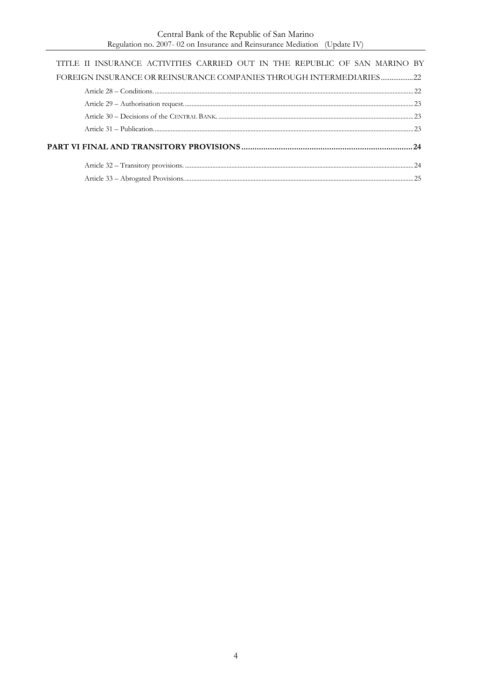| TITLE II INSURANCE ACTIVITIES CARRIED OUT IN THE REPUBLIC OF SAN MARINO BY |  |
|----------------------------------------------------------------------------|--|
| FOREIGN INSURANCE OR REINSURANCE COMPANIES THROUGH INTERMEDIARIES22        |  |
|                                                                            |  |
|                                                                            |  |
|                                                                            |  |
|                                                                            |  |
|                                                                            |  |
|                                                                            |  |
|                                                                            |  |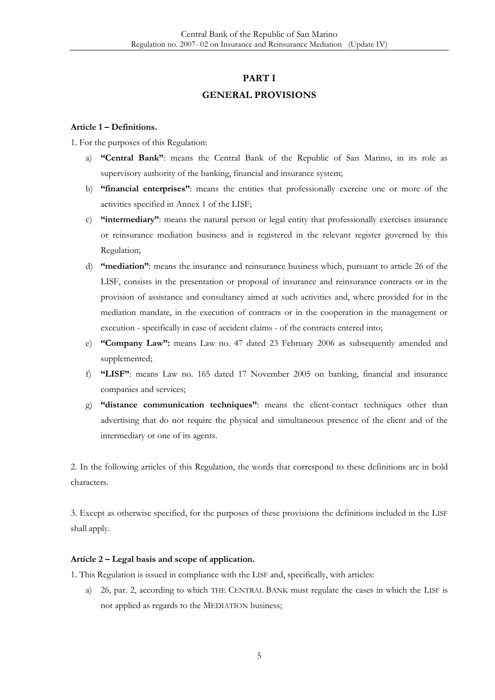#### **PART I**

#### **GENERAL PROVISIONS**

#### <span id="page-4-1"></span><span id="page-4-0"></span>**Article 1 – Definitions.**

1. For the purposes of this Regulation:

- a) **"Central Bank"**: means the Central Bank of the Republic of San Marino, in its role as supervisory authority of the banking, financial and insurance system;
- b) **"financial enterprises"**: means the entities that professionally exercise one or more of the activities specified in Annex 1 of the LISF;
- c) **"intermediary"**: means the natural person or legal entity that professionally exercises insurance or reinsurance mediation business and is registered in the relevant register governed by this Regulation;
- d) **"mediation"**: means the insurance and reinsurance business which, pursuant to article 26 of the LISF, consists in the presentation or proposal of insurance and reinsurance contracts or in the provision of assistance and consultancy aimed at such activities and, where provided for in the mediation mandate, in the execution of contracts or in the cooperation in the management or execution - specifically in case of accident claims - of the contracts entered into;
- e) **"Company Law":** means Law no. 47 dated 23 February 2006 as subsequently amended and supplemented;
- f) **"LISF"**: means Law no. 165 dated 17 November 2005 on banking, financial and insurance companies and services;
- g) **"distance communication techniques"**: means the client-contact techniques other than advertising that do not require the physical and simultaneous presence of the client and of the intermediary or one of its agents.

2. In the following articles of this Regulation, the words that correspond to these definitions are in bold characters.

3. Except as otherwise specified, for the purposes of these provisions the definitions included in the LISF shall apply.

#### <span id="page-4-2"></span>**Article 2 – Legal basis and scope of application.**

1. This Regulation is issued in compliance with the LISF and, specifically, with articles:

a) 26, par. 2, according to which THE CENTRAL BANK must regulate the cases in which the LISF is not applied as regards to the MEDIATION business;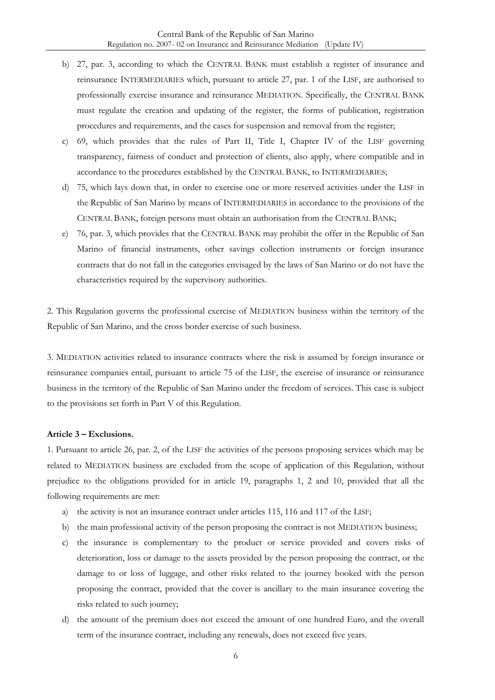- b) 27, par. 3, according to which the CENTRAL BANK must establish a register of insurance and reinsurance INTERMEDIARIES which, pursuant to article 27, par. 1 of the LISF, are authorised to professionally exercise insurance and reinsurance MEDIATION. Specifically, the CENTRAL BANK must regulate the creation and updating of the register, the forms of publication, registration procedures and requirements, and the cases for suspension and removal from the register;
- c) 69, which provides that the rules of Part II, Title I, Chapter IV of the LISF governing transparency, fairness of conduct and protection of clients, also apply, where compatible and in accordance to the procedures established by the CENTRAL BANK, to INTERMEDIARIES;
- d) 75, which lays down that, in order to exercise one or more reserved activities under the LISF in the Republic of San Marino by means of INTERMEDIARIES in accordance to the provisions of the CENTRAL BANK, foreign persons must obtain an authorisation from the CENTRAL BANK;
- e) 76, par. 3, which provides that the CENTRAL BANK may prohibit the offer in the Republic of San Marino of financial instruments, other savings collection instruments or foreign insurance contracts that do not fall in the categories envisaged by the laws of San Marino or do not have the characteristics required by the supervisory authorities.

2. This Regulation governs the professional exercise of MEDIATION business within the territory of the Republic of San Marino, and the cross border exercise of such business.

3. MEDIATION activities related to insurance contracts where the risk is assumed by foreign insurance or reinsurance companies entail, pursuant to article 75 of the LISF, the exercise of insurance or reinsurance business in the territory of the Republic of San Marino under the freedom of services. This case is subject to the provisions set forth in Part V of this Regulation.

#### <span id="page-5-0"></span>**Article 3 – Exclusions.**

1. Pursuant to article 26, par. 2, of the LISF the activities of the persons proposing services which may be related to MEDIATION business are excluded from the scope of application of this Regulation, without prejudice to the obligations provided for in article 19, paragraphs 1, 2 and 10, provided that all the following requirements are met:

- a) the activity is not an insurance contract under articles 115, 116 and 117 of the LISF;
- b) the main professional activity of the person proposing the contract is not MEDIATION business;
- c) the insurance is complementary to the product or service provided and covers risks of deterioration, loss or damage to the assets provided by the person proposing the contract, or the damage to or loss of luggage, and other risks related to the journey booked with the person proposing the contract, provided that the cover is ancillary to the main insurance covering the risks related to such journey;
- d) the amount of the premium does not exceed the amount of one hundred Euro, and the overall term of the insurance contract, including any renewals, does not exceed five years.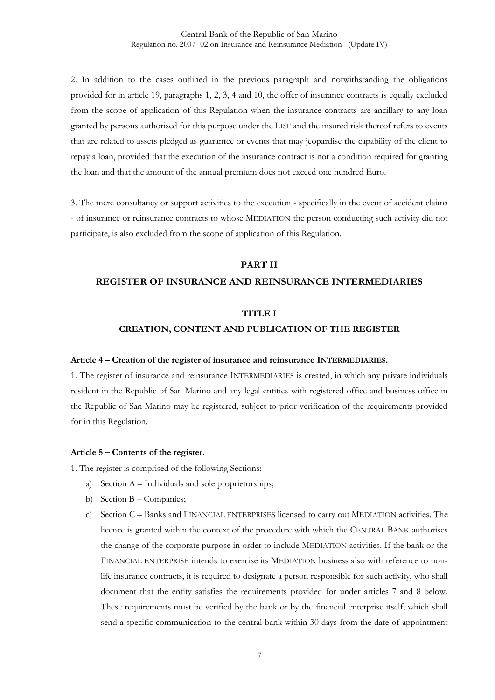2. In addition to the cases outlined in the previous paragraph and notwithstanding the obligations provided for in article 19, paragraphs 1, 2, 3, 4 and 10, the offer of insurance contracts is equally excluded from the scope of application of this Regulation when the insurance contracts are ancillary to any loan granted by persons authorised for this purpose under the LISF and the insured risk thereof refers to events that are related to assets pledged as guarantee or events that may jeopardise the capability of the client to repay a loan, provided that the execution of the insurance contract is not a condition required for granting the loan and that the amount of the annual premium does not exceed one hundred Euro.

3. The mere consultancy or support activities to the execution - specifically in the event of accident claims - of insurance or reinsurance contracts to whose MEDIATION the person conducting such activity did not participate, is also excluded from the scope of application of this Regulation.

#### **PART II**

#### <span id="page-6-1"></span><span id="page-6-0"></span>**REGISTER OF INSURANCE AND REINSURANCE INTERMEDIARIES**

#### **TITLE I**

#### **CREATION, CONTENT AND PUBLICATION OF THE REGISTER**

#### <span id="page-6-2"></span>**Article 4 – Creation of the register of insurance and reinsurance INTERMEDIARIES.**

1. The register of insurance and reinsurance INTERMEDIARIES is created, in which any private individuals resident in the Republic of San Marino and any legal entities with registered office and business office in the Republic of San Marino may be registered, subject to prior verification of the requirements provided for in this Regulation.

#### <span id="page-6-3"></span>**Article 5 – Contents of the register.**

- 1. The register is comprised of the following Sections:
	- a) Section A Individuals and sole proprietorships;
	- b) Section B Companies;
	- c) Section C Banks and FINANCIAL ENTERPRISES licensed to carry out MEDIATION activities. The licence is granted within the context of the procedure with which the CENTRAL BANK authorises the change of the corporate purpose in order to include MEDIATION activities. If the bank or the FINANCIAL ENTERPRISE intends to exercise its MEDIATION business also with reference to nonlife insurance contracts, it is required to designate a person responsible for such activity, who shall document that the entity satisfies the requirements provided for under articles 7 and 8 below. These requirements must be verified by the bank or by the financial enterprise itself, which shall send a specific communication to the central bank within 30 days from the date of appointment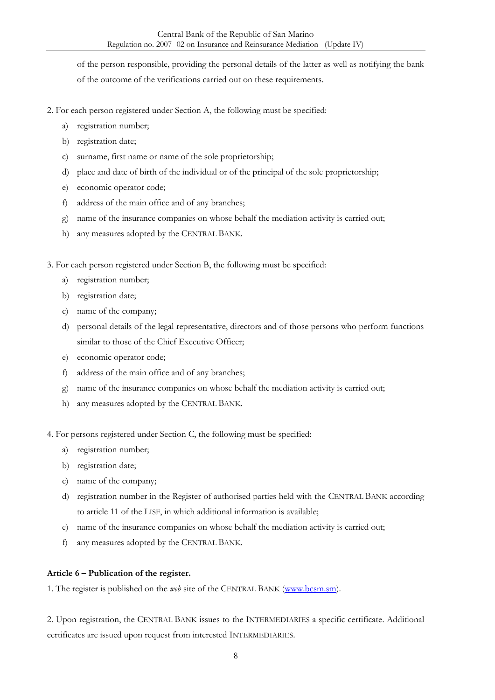of the person responsible, providing the personal details of the latter as well as notifying the bank

of the outcome of the verifications carried out on these requirements.

- 2. For each person registered under Section A, the following must be specified:
	- a) registration number;
	- b) registration date;
	- c) surname, first name or name of the sole proprietorship;
	- d) place and date of birth of the individual or of the principal of the sole proprietorship;
	- e) economic operator code;
	- f) address of the main office and of any branches;
	- g) name of the insurance companies on whose behalf the mediation activity is carried out;
	- h) any measures adopted by the CENTRAL BANK.

3. For each person registered under Section B, the following must be specified:

- a) registration number;
- b) registration date;
- c) name of the company;
- d) personal details of the legal representative, directors and of those persons who perform functions similar to those of the Chief Executive Officer;
- e) economic operator code;
- f) address of the main office and of any branches;
- g) name of the insurance companies on whose behalf the mediation activity is carried out;
- h) any measures adopted by the CENTRAL BANK.

4. For persons registered under Section C, the following must be specified:

- a) registration number;
- b) registration date;
- c) name of the company;
- d) registration number in the Register of authorised parties held with the CENTRAL BANK according to article 11 of the LISF, in which additional information is available;
- e) name of the insurance companies on whose behalf the mediation activity is carried out;
- f) any measures adopted by the CENTRAL BANK.

#### <span id="page-7-0"></span>**Article 6 – Publication of the register.**

1. The register is published on the *web* site of the CENTRAL BANK [\(www.bcsm.sm\)](http://www.bcsm.sm/).

2. Upon registration, the CENTRAL BANK issues to the INTERMEDIARIES a specific certificate. Additional certificates are issued upon request from interested INTERMEDIARIES.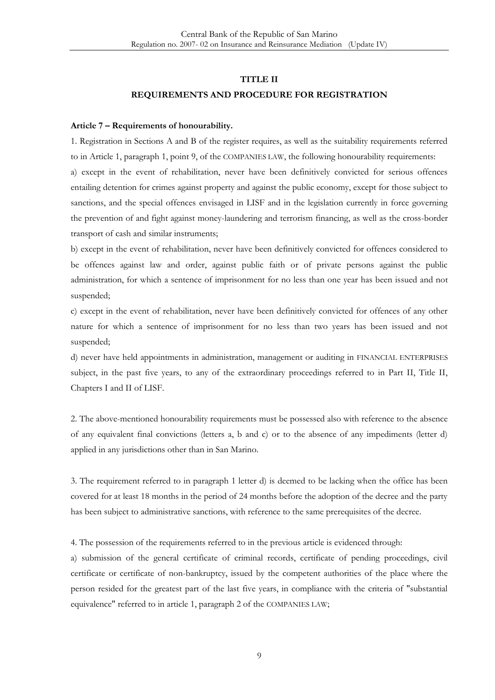### **TITLE II REQUIREMENTS AND PROCEDURE FOR REGISTRATION**

#### <span id="page-8-1"></span><span id="page-8-0"></span>**Article 7 – Requirements of honourability.**

1. Registration in Sections A and B of the register requires, as well as the suitability requirements referred to in Article 1, paragraph 1, point 9, of the COMPANIES LAW, the following honourability requirements: a) except in the event of rehabilitation, never have been definitively convicted for serious offences entailing detention for crimes against property and against the public economy, except for those subject to sanctions, and the special offences envisaged in LISF and in the legislation currently in force governing the prevention of and fight against money-laundering and terrorism financing, as well as the cross-border transport of cash and similar instruments;

b) except in the event of rehabilitation, never have been definitively convicted for offences considered to be offences against law and order, against public faith or of private persons against the public administration, for which a sentence of imprisonment for no less than one year has been issued and not suspended;

c) except in the event of rehabilitation, never have been definitively convicted for offences of any other nature for which a sentence of imprisonment for no less than two years has been issued and not suspended;

d) never have held appointments in administration, management or auditing in FINANCIAL ENTERPRISES subject, in the past five years, to any of the extraordinary proceedings referred to in Part II, Title II, Chapters I and II of LISF.

2. The above-mentioned honourability requirements must be possessed also with reference to the absence of any equivalent final convictions (letters a, b and c) or to the absence of any impediments (letter d) applied in any jurisdictions other than in San Marino.

3. The requirement referred to in paragraph 1 letter d) is deemed to be lacking when the office has been covered for at least 18 months in the period of 24 months before the adoption of the decree and the party has been subject to administrative sanctions, with reference to the same prerequisites of the decree.

4. The possession of the requirements referred to in the previous article is evidenced through:

a) submission of the general certificate of criminal records, certificate of pending proceedings, civil certificate or certificate of non-bankruptcy, issued by the competent authorities of the place where the person resided for the greatest part of the last five years, in compliance with the criteria of "substantial equivalence" referred to in article 1, paragraph 2 of the COMPANIES LAW;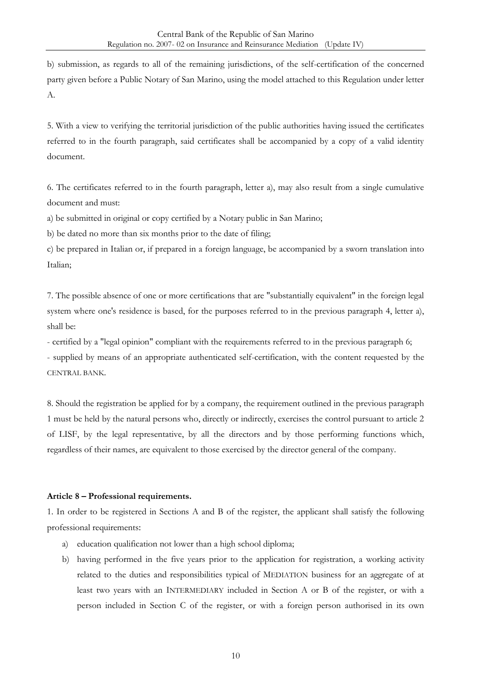b) submission, as regards to all of the remaining jurisdictions, of the self-certification of the concerned party given before a Public Notary of San Marino, using the model attached to this Regulation under letter A.

5. With a view to verifying the territorial jurisdiction of the public authorities having issued the certificates referred to in the fourth paragraph, said certificates shall be accompanied by a copy of a valid identity document.

6. The certificates referred to in the fourth paragraph, letter a), may also result from a single cumulative document and must:

a) be submitted in original or copy certified by a Notary public in San Marino;

b) be dated no more than six months prior to the date of filing;

c) be prepared in Italian or, if prepared in a foreign language, be accompanied by a sworn translation into Italian;

7. The possible absence of one or more certifications that are "substantially equivalent" in the foreign legal system where one's residence is based, for the purposes referred to in the previous paragraph 4, letter a), shall be:

- certified by a "legal opinion" compliant with the requirements referred to in the previous paragraph 6; - supplied by means of an appropriate authenticated self-certification, with the content requested by the CENTRAL BANK.

8. Should the registration be applied for by a company, the requirement outlined in the previous paragraph 1 must be held by the natural persons who, directly or indirectly, exercises the control pursuant to article 2 of LISF, by the legal representative, by all the directors and by those performing functions which, regardless of their names, are equivalent to those exercised by the director general of the company.

#### <span id="page-9-0"></span>**Article 8 – Professional requirements.**

1. In order to be registered in Sections A and B of the register, the applicant shall satisfy the following professional requirements:

- a) education qualification not lower than a high school diploma;
- b) having performed in the five years prior to the application for registration, a working activity related to the duties and responsibilities typical of MEDIATION business for an aggregate of at least two years with an INTERMEDIARY included in Section A or B of the register, or with a person included in Section C of the register, or with a foreign person authorised in its own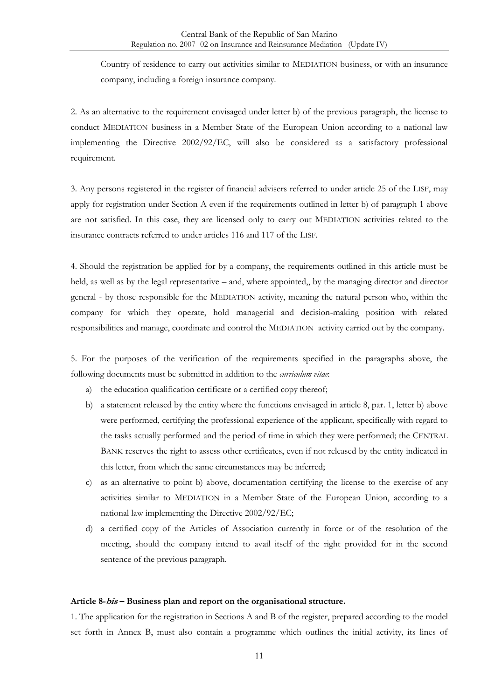Country of residence to carry out activities similar to MEDIATION business, or with an insurance company, including a foreign insurance company.

2. As an alternative to the requirement envisaged under letter b) of the previous paragraph, the license to conduct MEDIATION business in a Member State of the European Union according to a national law implementing the Directive 2002/92/EC, will also be considered as a satisfactory professional requirement.

3. Any persons registered in the register of financial advisers referred to under article 25 of the LISF, may apply for registration under Section A even if the requirements outlined in letter b) of paragraph 1 above are not satisfied. In this case, they are licensed only to carry out MEDIATION activities related to the insurance contracts referred to under articles 116 and 117 of the LISF.

4. Should the registration be applied for by a company, the requirements outlined in this article must be held, as well as by the legal representative – and, where appointed,, by the managing director and director general - by those responsible for the MEDIATION activity, meaning the natural person who, within the company for which they operate, hold managerial and decision-making position with related responsibilities and manage, coordinate and control the MEDIATION activity carried out by the company.

5. For the purposes of the verification of the requirements specified in the paragraphs above, the following documents must be submitted in addition to the *curriculum vitae*:

- a) the education qualification certificate or a certified copy thereof;
- b) a statement released by the entity where the functions envisaged in article 8, par. 1, letter b) above were performed, certifying the professional experience of the applicant, specifically with regard to the tasks actually performed and the period of time in which they were performed; the CENTRAL BANK reserves the right to assess other certificates, even if not released by the entity indicated in this letter, from which the same circumstances may be inferred;
- c) as an alternative to point b) above, documentation certifying the license to the exercise of any activities similar to MEDIATION in a Member State of the European Union, according to a national law implementing the Directive 2002/92/EC;
- d) a certified copy of the Articles of Association currently in force or of the resolution of the meeting, should the company intend to avail itself of the right provided for in the second sentence of the previous paragraph.

#### <span id="page-10-0"></span>**Article 8-bis – Business plan and report on the organisational structure.**

1. The application for the registration in Sections A and B of the register, prepared according to the model set forth in Annex B, must also contain a programme which outlines the initial activity, its lines of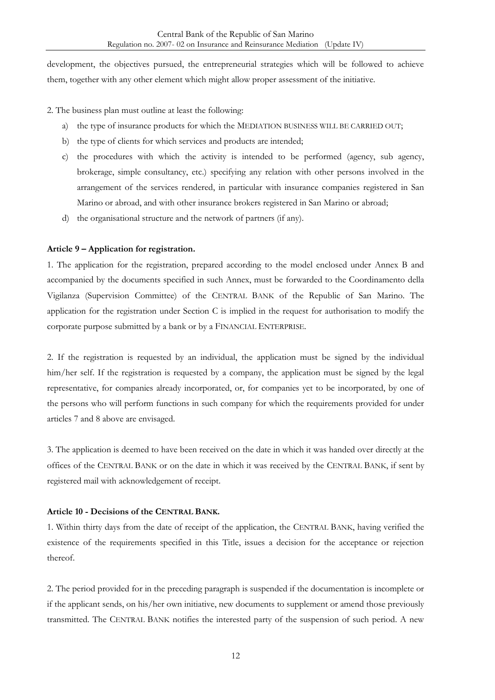development, the objectives pursued, the entrepreneurial strategies which will be followed to achieve them, together with any other element which might allow proper assessment of the initiative.

2. The business plan must outline at least the following:

- a) the type of insurance products for which the MEDIATION BUSINESS WILL BE CARRIED OUT;
- b) the type of clients for which services and products are intended;
- c) the procedures with which the activity is intended to be performed (agency, sub agency, brokerage, simple consultancy, etc.) specifying any relation with other persons involved in the arrangement of the services rendered, in particular with insurance companies registered in San Marino or abroad, and with other insurance brokers registered in San Marino or abroad;
- d) the organisational structure and the network of partners (if any).

#### <span id="page-11-0"></span>**Article 9 – Application for registration.**

1. The application for the registration, prepared according to the model enclosed under Annex B and accompanied by the documents specified in such Annex, must be forwarded to the Coordinamento della Vigilanza (Supervision Committee) of the CENTRAL BANK of the Republic of San Marino. The application for the registration under Section C is implied in the request for authorisation to modify the corporate purpose submitted by a bank or by a FINANCIAL ENTERPRISE.

2. If the registration is requested by an individual, the application must be signed by the individual him/her self. If the registration is requested by a company, the application must be signed by the legal representative, for companies already incorporated, or, for companies yet to be incorporated, by one of the persons who will perform functions in such company for which the requirements provided for under articles 7 and 8 above are envisaged.

3. The application is deemed to have been received on the date in which it was handed over directly at the offices of the CENTRAL BANK or on the date in which it was received by the CENTRAL BANK, if sent by registered mail with acknowledgement of receipt.

#### <span id="page-11-1"></span>**Article 10 - Decisions of the CENTRAL BANK.**

1. Within thirty days from the date of receipt of the application, the CENTRAL BANK, having verified the existence of the requirements specified in this Title, issues a decision for the acceptance or rejection thereof.

2. The period provided for in the preceding paragraph is suspended if the documentation is incomplete or if the applicant sends, on his/her own initiative, new documents to supplement or amend those previously transmitted. The CENTRAL BANK notifies the interested party of the suspension of such period. A new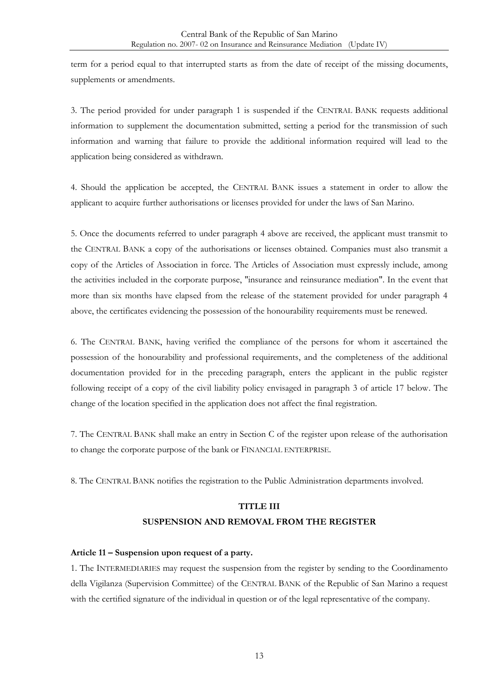term for a period equal to that interrupted starts as from the date of receipt of the missing documents, supplements or amendments.

3. The period provided for under paragraph 1 is suspended if the CENTRAL BANK requests additional information to supplement the documentation submitted, setting a period for the transmission of such information and warning that failure to provide the additional information required will lead to the application being considered as withdrawn.

4. Should the application be accepted, the CENTRAL BANK issues a statement in order to allow the applicant to acquire further authorisations or licenses provided for under the laws of San Marino.

5. Once the documents referred to under paragraph 4 above are received, the applicant must transmit to the CENTRAL BANK a copy of the authorisations or licenses obtained. Companies must also transmit a copy of the Articles of Association in force. The Articles of Association must expressly include, among the activities included in the corporate purpose, "insurance and reinsurance mediation". In the event that more than six months have elapsed from the release of the statement provided for under paragraph 4 above, the certificates evidencing the possession of the honourability requirements must be renewed.

6. The CENTRAL BANK, having verified the compliance of the persons for whom it ascertained the possession of the honourability and professional requirements, and the completeness of the additional documentation provided for in the preceding paragraph, enters the applicant in the public register following receipt of a copy of the civil liability policy envisaged in paragraph 3 of article 17 below. The change of the location specified in the application does not affect the final registration.

7. The CENTRAL BANK shall make an entry in Section C of the register upon release of the authorisation to change the corporate purpose of the bank or FINANCIAL ENTERPRISE.

<span id="page-12-0"></span>8. The CENTRAL BANK notifies the registration to the Public Administration departments involved.

### **TITLE III SUSPENSION AND REMOVAL FROM THE REGISTER**

#### <span id="page-12-1"></span>**Article 11 – Suspension upon request of a party.**

1. The INTERMEDIARIES may request the suspension from the register by sending to the Coordinamento della Vigilanza (Supervision Committee) of the CENTRAL BANK of the Republic of San Marino a request with the certified signature of the individual in question or of the legal representative of the company.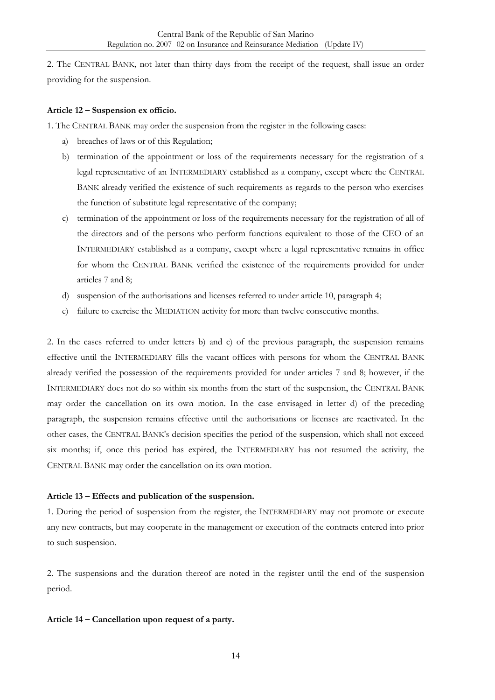2. The CENTRAL BANK, not later than thirty days from the receipt of the request, shall issue an order providing for the suspension.

#### <span id="page-13-0"></span>**Article 12 – Suspension ex officio.**

1. The CENTRAL BANK may order the suspension from the register in the following cases:

- a) breaches of laws or of this Regulation;
- b) termination of the appointment or loss of the requirements necessary for the registration of a legal representative of an INTERMEDIARY established as a company, except where the CENTRAL BANK already verified the existence of such requirements as regards to the person who exercises the function of substitute legal representative of the company;
- c) termination of the appointment or loss of the requirements necessary for the registration of all of the directors and of the persons who perform functions equivalent to those of the CEO of an INTERMEDIARY established as a company, except where a legal representative remains in office for whom the CENTRAL BANK verified the existence of the requirements provided for under articles 7 and 8;
- d) suspension of the authorisations and licenses referred to under article 10, paragraph 4;
- e) failure to exercise the MEDIATION activity for more than twelve consecutive months.

2. In the cases referred to under letters b) and c) of the previous paragraph, the suspension remains effective until the INTERMEDIARY fills the vacant offices with persons for whom the CENTRAL BANK already verified the possession of the requirements provided for under articles 7 and 8; however, if the INTERMEDIARY does not do so within six months from the start of the suspension, the CENTRAL BANK may order the cancellation on its own motion. In the case envisaged in letter d) of the preceding paragraph, the suspension remains effective until the authorisations or licenses are reactivated. In the other cases, the CENTRAL BANK's decision specifies the period of the suspension, which shall not exceed six months; if, once this period has expired, the INTERMEDIARY has not resumed the activity, the CENTRAL BANK may order the cancellation on its own motion.

#### <span id="page-13-1"></span>**Article 13 – Effects and publication of the suspension.**

1. During the period of suspension from the register, the INTERMEDIARY may not promote or execute any new contracts, but may cooperate in the management or execution of the contracts entered into prior to such suspension.

2. The suspensions and the duration thereof are noted in the register until the end of the suspension period.

#### <span id="page-13-2"></span>**Article 14 – Cancellation upon request of a party.**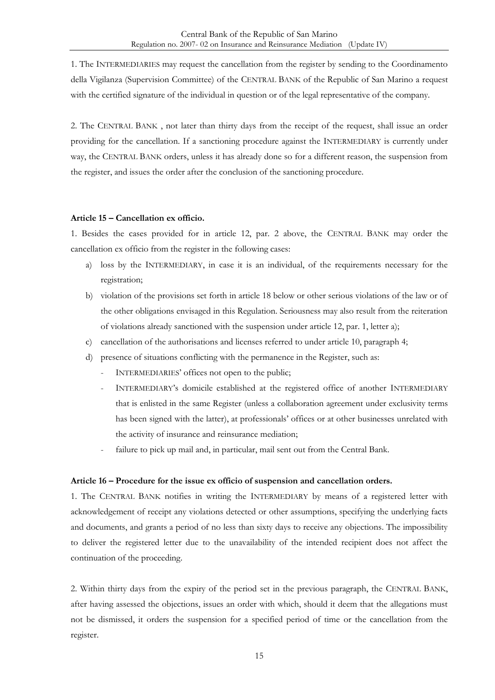1. The INTERMEDIARIES may request the cancellation from the register by sending to the Coordinamento della Vigilanza (Supervision Committee) of the CENTRAL BANK of the Republic of San Marino a request with the certified signature of the individual in question or of the legal representative of the company.

2. The CENTRAL BANK , not later than thirty days from the receipt of the request, shall issue an order providing for the cancellation. If a sanctioning procedure against the INTERMEDIARY is currently under way, the CENTRAL BANK orders, unless it has already done so for a different reason, the suspension from the register, and issues the order after the conclusion of the sanctioning procedure.

#### <span id="page-14-0"></span>**Article 15 – Cancellation ex officio.**

1. Besides the cases provided for in article 12, par. 2 above, the CENTRAL BANK may order the cancellation ex officio from the register in the following cases:

- a) loss by the INTERMEDIARY, in case it is an individual, of the requirements necessary for the registration;
- b) violation of the provisions set forth in article 18 below or other serious violations of the law or of the other obligations envisaged in this Regulation. Seriousness may also result from the reiteration of violations already sanctioned with the suspension under article 12, par. 1, letter a);
- c) cancellation of the authorisations and licenses referred to under article 10, paragraph 4;
- d) presence of situations conflicting with the permanence in the Register, such as:
	- INTERMEDIARIES' offices not open to the public;
	- INTERMEDIARY's domicile established at the registered office of another INTERMEDIARY that is enlisted in the same Register (unless a collaboration agreement under exclusivity terms has been signed with the latter), at professionals' offices or at other businesses unrelated with the activity of insurance and reinsurance mediation;
	- failure to pick up mail and, in particular, mail sent out from the Central Bank.

#### <span id="page-14-1"></span>**Article 16 – Procedure for the issue ex officio of suspension and cancellation orders.**

1. The CENTRAL BANK notifies in writing the INTERMEDIARY by means of a registered letter with acknowledgement of receipt any violations detected or other assumptions, specifying the underlying facts and documents, and grants a period of no less than sixty days to receive any objections. The impossibility to deliver the registered letter due to the unavailability of the intended recipient does not affect the continuation of the proceeding.

2. Within thirty days from the expiry of the period set in the previous paragraph, the CENTRAL BANK, after having assessed the objections, issues an order with which, should it deem that the allegations must not be dismissed, it orders the suspension for a specified period of time or the cancellation from the register.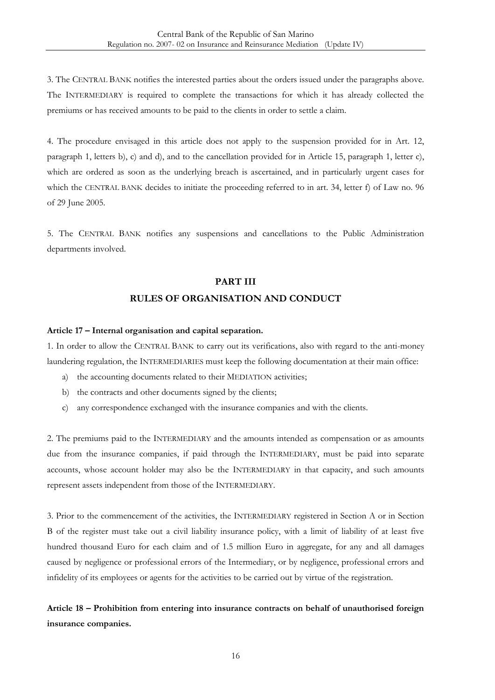3. The CENTRAL BANK notifies the interested parties about the orders issued under the paragraphs above. The INTERMEDIARY is required to complete the transactions for which it has already collected the premiums or has received amounts to be paid to the clients in order to settle a claim.

4. The procedure envisaged in this article does not apply to the suspension provided for in Art. 12, paragraph 1, letters b), c) and d), and to the cancellation provided for in Article 15, paragraph 1, letter c), which are ordered as soon as the underlying breach is ascertained, and in particularly urgent cases for which the CENTRAL BANK decides to initiate the proceeding referred to in art. 34, letter f) of Law no. 96 of 29 June 2005.

<span id="page-15-0"></span>5. The CENTRAL BANK notifies any suspensions and cancellations to the Public Administration departments involved.

## **PART III RULES OF ORGANISATION AND CONDUCT**

#### <span id="page-15-1"></span>**Article 17 – Internal organisation and capital separation.**

1. In order to allow the CENTRAL BANK to carry out its verifications, also with regard to the anti-money laundering regulation, the INTERMEDIARIES must keep the following documentation at their main office:

- a) the accounting documents related to their MEDIATION activities;
- b) the contracts and other documents signed by the clients;
- c) any correspondence exchanged with the insurance companies and with the clients.

2. The premiums paid to the INTERMEDIARY and the amounts intended as compensation or as amounts due from the insurance companies, if paid through the INTERMEDIARY, must be paid into separate accounts, whose account holder may also be the INTERMEDIARY in that capacity, and such amounts represent assets independent from those of the INTERMEDIARY.

3. Prior to the commencement of the activities, the INTERMEDIARY registered in Section A or in Section B of the register must take out a civil liability insurance policy, with a limit of liability of at least five hundred thousand Euro for each claim and of 1.5 million Euro in aggregate, for any and all damages caused by negligence or professional errors of the Intermediary, or by negligence, professional errors and infidelity of its employees or agents for the activities to be carried out by virtue of the registration.

### <span id="page-15-2"></span>**Article 18 – Prohibition from entering into insurance contracts on behalf of unauthorised foreign insurance companies.**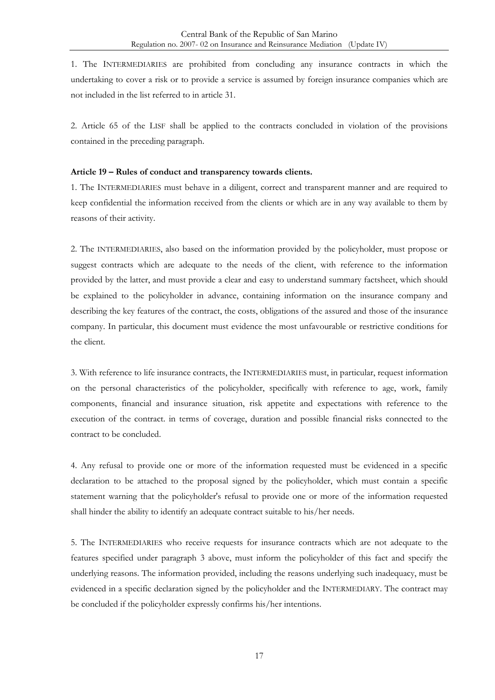1. The INTERMEDIARIES are prohibited from concluding any insurance contracts in which the undertaking to cover a risk or to provide a service is assumed by foreign insurance companies which are not included in the list referred to in article 31.

2. Article 65 of the LISF shall be applied to the contracts concluded in violation of the provisions contained in the preceding paragraph.

#### <span id="page-16-0"></span>**Article 19 – Rules of conduct and transparency towards clients.**

1. The INTERMEDIARIES must behave in a diligent, correct and transparent manner and are required to keep confidential the information received from the clients or which are in any way available to them by reasons of their activity.

2. The INTERMEDIARIES, also based on the information provided by the policyholder, must propose or suggest contracts which are adequate to the needs of the client, with reference to the information provided by the latter, and must provide a clear and easy to understand summary factsheet, which should be explained to the policyholder in advance, containing information on the insurance company and describing the key features of the contract, the costs, obligations of the assured and those of the insurance company. In particular, this document must evidence the most unfavourable or restrictive conditions for the client.

3. With reference to life insurance contracts, the INTERMEDIARIES must, in particular, request information on the personal characteristics of the policyholder, specifically with reference to age, work, family components, financial and insurance situation, risk appetite and expectations with reference to the execution of the contract. in terms of coverage, duration and possible financial risks connected to the contract to be concluded.

4. Any refusal to provide one or more of the information requested must be evidenced in a specific declaration to be attached to the proposal signed by the policyholder, which must contain a specific statement warning that the policyholder's refusal to provide one or more of the information requested shall hinder the ability to identify an adequate contract suitable to his/her needs.

5. The INTERMEDIARIES who receive requests for insurance contracts which are not adequate to the features specified under paragraph 3 above, must inform the policyholder of this fact and specify the underlying reasons. The information provided, including the reasons underlying such inadequacy, must be evidenced in a specific declaration signed by the policyholder and the INTERMEDIARY. The contract may be concluded if the policyholder expressly confirms his/her intentions.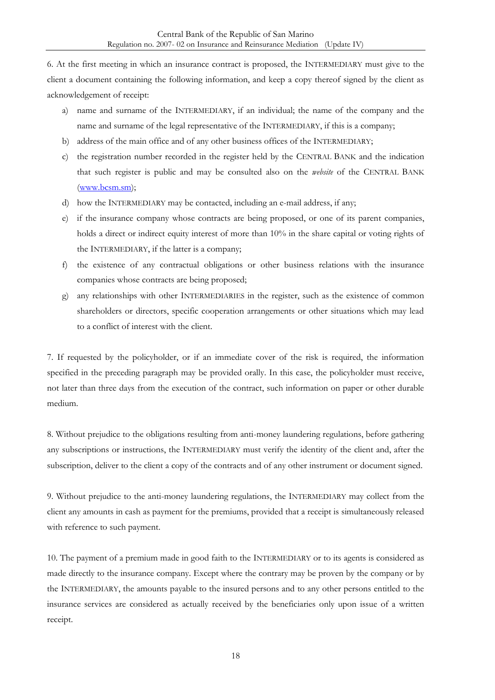6. At the first meeting in which an insurance contract is proposed, the INTERMEDIARY must give to the client a document containing the following information, and keep a copy thereof signed by the client as acknowledgement of receipt:

- a) name and surname of the INTERMEDIARY, if an individual; the name of the company and the name and surname of the legal representative of the INTERMEDIARY, if this is a company;
- b) address of the main office and of any other business offices of the INTERMEDIARY;
- c) the registration number recorded in the register held by the CENTRAL BANK and the indication that such register is public and may be consulted also on the *website* of the CENTRAL BANK [\(www.bcsm.sm\)](http://www.bcsm.sm/);
- d) how the INTERMEDIARY may be contacted, including an e-mail address, if any;
- e) if the insurance company whose contracts are being proposed, or one of its parent companies, holds a direct or indirect equity interest of more than 10% in the share capital or voting rights of the INTERMEDIARY, if the latter is a company;
- f) the existence of any contractual obligations or other business relations with the insurance companies whose contracts are being proposed;
- g) any relationships with other INTERMEDIARIES in the register, such as the existence of common shareholders or directors, specific cooperation arrangements or other situations which may lead to a conflict of interest with the client.

7. If requested by the policyholder, or if an immediate cover of the risk is required, the information specified in the preceding paragraph may be provided orally. In this case, the policyholder must receive, not later than three days from the execution of the contract, such information on paper or other durable medium.

8. Without prejudice to the obligations resulting from anti-money laundering regulations, before gathering any subscriptions or instructions, the INTERMEDIARY must verify the identity of the client and, after the subscription, deliver to the client a copy of the contracts and of any other instrument or document signed.

9. Without prejudice to the anti-money laundering regulations, the INTERMEDIARY may collect from the client any amounts in cash as payment for the premiums, provided that a receipt is simultaneously released with reference to such payment.

10. The payment of a premium made in good faith to the INTERMEDIARY or to its agents is considered as made directly to the insurance company. Except where the contrary may be proven by the company or by the INTERMEDIARY, the amounts payable to the insured persons and to any other persons entitled to the insurance services are considered as actually received by the beneficiaries only upon issue of a written receipt.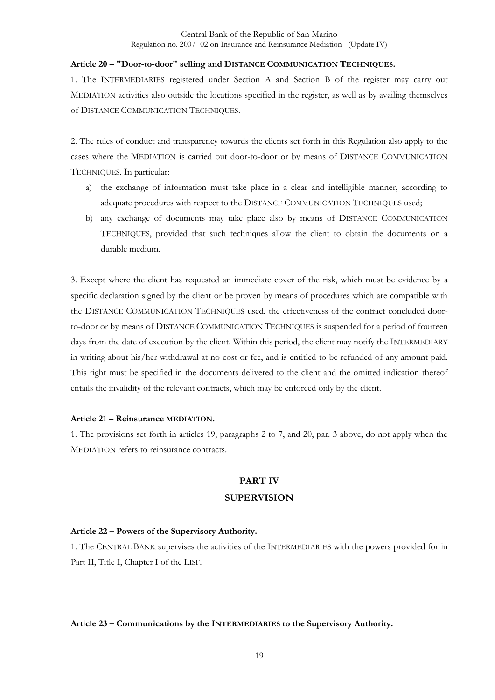#### <span id="page-18-0"></span>**Article 20 – "Door-to-door" selling and DISTANCE COMMUNICATION TECHNIQUES.**

1. The INTERMEDIARIES registered under Section A and Section B of the register may carry out MEDIATION activities also outside the locations specified in the register, as well as by availing themselves of DISTANCE COMMUNICATION TECHNIQUES.

2. The rules of conduct and transparency towards the clients set forth in this Regulation also apply to the cases where the MEDIATION is carried out door-to-door or by means of DISTANCE COMMUNICATION TECHNIQUES. In particular:

- a) the exchange of information must take place in a clear and intelligible manner, according to adequate procedures with respect to the DISTANCE COMMUNICATION TECHNIQUES used;
- b) any exchange of documents may take place also by means of DISTANCE COMMUNICATION TECHNIQUES, provided that such techniques allow the client to obtain the documents on a durable medium.

3. Except where the client has requested an immediate cover of the risk, which must be evidence by a specific declaration signed by the client or be proven by means of procedures which are compatible with the DISTANCE COMMUNICATION TECHNIQUES used, the effectiveness of the contract concluded doorto-door or by means of DISTANCE COMMUNICATION TECHNIQUES is suspended for a period of fourteen days from the date of execution by the client. Within this period, the client may notify the INTERMEDIARY in writing about his/her withdrawal at no cost or fee, and is entitled to be refunded of any amount paid. This right must be specified in the documents delivered to the client and the omitted indication thereof entails the invalidity of the relevant contracts, which may be enforced only by the client.

#### <span id="page-18-1"></span>**Article 21 – Reinsurance MEDIATION.**

<span id="page-18-2"></span>1. The provisions set forth in articles 19, paragraphs 2 to 7, and 20, par. 3 above, do not apply when the MEDIATION refers to reinsurance contracts.

## **PART IV SUPERVISION**

#### <span id="page-18-3"></span>**Article 22 – Powers of the Supervisory Authority.**

1. The CENTRAL BANK supervises the activities of the INTERMEDIARIES with the powers provided for in Part II, Title I, Chapter I of the LISF.

#### <span id="page-18-4"></span>**Article 23 – Communications by the INTERMEDIARIES to the Supervisory Authority.**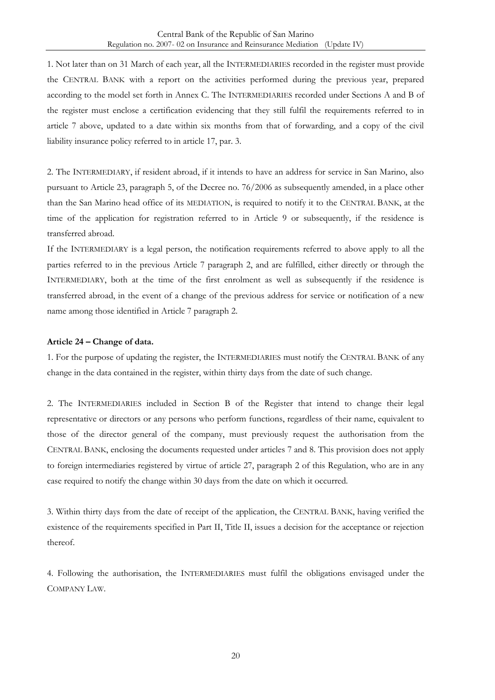1. Not later than on 31 March of each year, all the INTERMEDIARIES recorded in the register must provide the CENTRAL BANK with a report on the activities performed during the previous year, prepared according to the model set forth in Annex C. The INTERMEDIARIES recorded under Sections A and B of the register must enclose a certification evidencing that they still fulfil the requirements referred to in article 7 above, updated to a date within six months from that of forwarding, and a copy of the civil liability insurance policy referred to in article 17, par. 3.

2. The INTERMEDIARY, if resident abroad, if it intends to have an address for service in San Marino, also pursuant to Article 23, paragraph 5, of the Decree no. 76/2006 as subsequently amended, in a place other than the San Marino head office of its MEDIATION, is required to notify it to the CENTRAL BANK, at the time of the application for registration referred to in Article 9 or subsequently, if the residence is transferred abroad.

If the INTERMEDIARY is a legal person, the notification requirements referred to above apply to all the parties referred to in the previous Article 7 paragraph 2, and are fulfilled, either directly or through the INTERMEDIARY, both at the time of the first enrolment as well as subsequently if the residence is transferred abroad, in the event of a change of the previous address for service or notification of a new name among those identified in Article 7 paragraph 2.

#### <span id="page-19-0"></span>**Article 24 – Change of data.**

1. For the purpose of updating the register, the INTERMEDIARIES must notify the CENTRAL BANK of any change in the data contained in the register, within thirty days from the date of such change.

2. The INTERMEDIARIES included in Section B of the Register that intend to change their legal representative or directors or any persons who perform functions, regardless of their name, equivalent to those of the director general of the company, must previously request the authorisation from the CENTRAL BANK, enclosing the documents requested under articles 7 and 8. This provision does not apply to foreign intermediaries registered by virtue of article 27, paragraph 2 of this Regulation, who are in any case required to notify the change within 30 days from the date on which it occurred.

3. Within thirty days from the date of receipt of the application, the CENTRAL BANK, having verified the existence of the requirements specified in Part II, Title II, issues a decision for the acceptance or rejection thereof.

4. Following the authorisation, the INTERMEDIARIES must fulfil the obligations envisaged under the COMPANY LAW.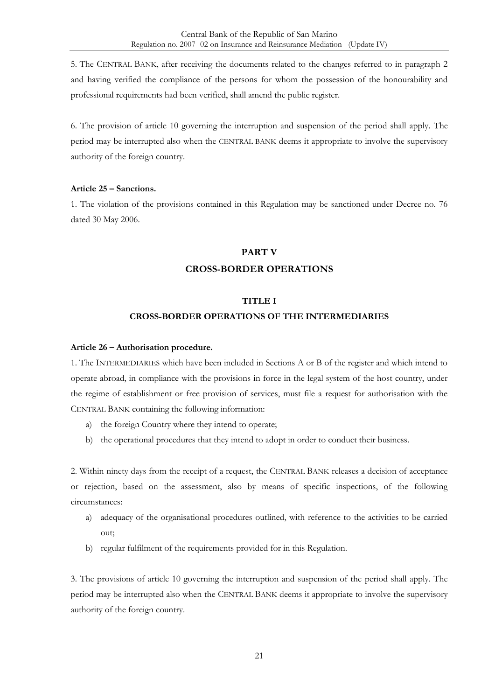5. The CENTRAL BANK, after receiving the documents related to the changes referred to in paragraph 2 and having verified the compliance of the persons for whom the possession of the honourability and professional requirements had been verified, shall amend the public register.

6. The provision of article 10 governing the interruption and suspension of the period shall apply. The period may be interrupted also when the CENTRAL BANK deems it appropriate to involve the supervisory authority of the foreign country.

#### <span id="page-20-0"></span>**Article 25 – Sanctions.**

<span id="page-20-1"></span>1. The violation of the provisions contained in this Regulation may be sanctioned under Decree no. 76 dated 30 May 2006.

#### **PART V**

#### **CROSS-BORDER OPERATIONS**

#### **TITLE I**

#### **CROSS-BORDER OPERATIONS OF THE INTERMEDIARIES**

#### <span id="page-20-3"></span><span id="page-20-2"></span>**Article 26 – Authorisation procedure.**

1. The INTERMEDIARIES which have been included in Sections A or B of the register and which intend to operate abroad, in compliance with the provisions in force in the legal system of the host country, under the regime of establishment or free provision of services, must file a request for authorisation with the CENTRAL BANK containing the following information:

- a) the foreign Country where they intend to operate;
- b) the operational procedures that they intend to adopt in order to conduct their business.

2. Within ninety days from the receipt of a request, the CENTRAL BANK releases a decision of acceptance or rejection, based on the assessment, also by means of specific inspections, of the following circumstances:

- a) adequacy of the organisational procedures outlined, with reference to the activities to be carried out;
- b) regular fulfilment of the requirements provided for in this Regulation.

3. The provisions of article 10 governing the interruption and suspension of the period shall apply. The period may be interrupted also when the CENTRAL BANK deems it appropriate to involve the supervisory authority of the foreign country.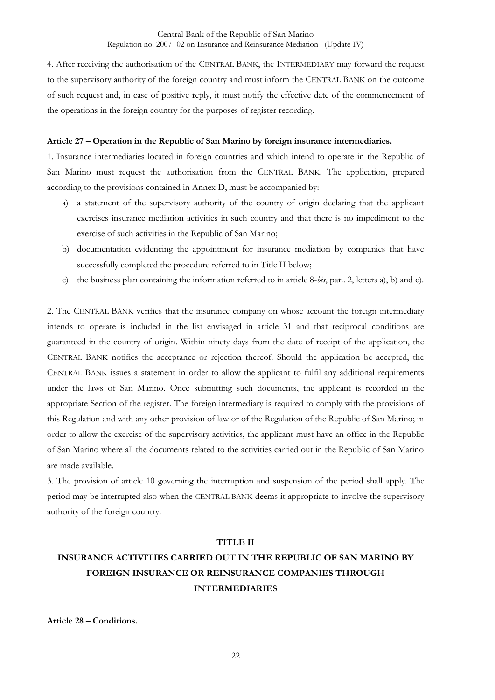4. After receiving the authorisation of the CENTRAL BANK, the INTERMEDIARY may forward the request to the supervisory authority of the foreign country and must inform the CENTRAL BANK on the outcome of such request and, in case of positive reply, it must notify the effective date of the commencement of the operations in the foreign country for the purposes of register recording.

#### <span id="page-21-0"></span>**Article 27 – Operation in the Republic of San Marino by foreign insurance intermediaries.**

1. Insurance intermediaries located in foreign countries and which intend to operate in the Republic of San Marino must request the authorisation from the CENTRAL BANK. The application, prepared according to the provisions contained in Annex D, must be accompanied by:

- a) a statement of the supervisory authority of the country of origin declaring that the applicant exercises insurance mediation activities in such country and that there is no impediment to the exercise of such activities in the Republic of San Marino;
- b) documentation evidencing the appointment for insurance mediation by companies that have successfully completed the procedure referred to in Title II below;
- c) the business plan containing the information referred to in article 8-*bis*, par.. 2, letters a), b) and c).

2. The CENTRAL BANK verifies that the insurance company on whose account the foreign intermediary intends to operate is included in the list envisaged in article 31 and that reciprocal conditions are guaranteed in the country of origin. Within ninety days from the date of receipt of the application, the CENTRAL BANK notifies the acceptance or rejection thereof. Should the application be accepted, the CENTRAL BANK issues a statement in order to allow the applicant to fulfil any additional requirements under the laws of San Marino. Once submitting such documents, the applicant is recorded in the appropriate Section of the register. The foreign intermediary is required to comply with the provisions of this Regulation and with any other provision of law or of the Regulation of the Republic of San Marino; in order to allow the exercise of the supervisory activities, the applicant must have an office in the Republic of San Marino where all the documents related to the activities carried out in the Republic of San Marino are made available.

3. The provision of article 10 governing the interruption and suspension of the period shall apply. The period may be interrupted also when the CENTRAL BANK deems it appropriate to involve the supervisory authority of the foreign country.

#### **TITLE II**

## <span id="page-21-1"></span>**INSURANCE ACTIVITIES CARRIED OUT IN THE REPUBLIC OF SAN MARINO BY FOREIGN INSURANCE OR REINSURANCE COMPANIES THROUGH INTERMEDIARIES**

<span id="page-21-2"></span>**Article 28 – Conditions.**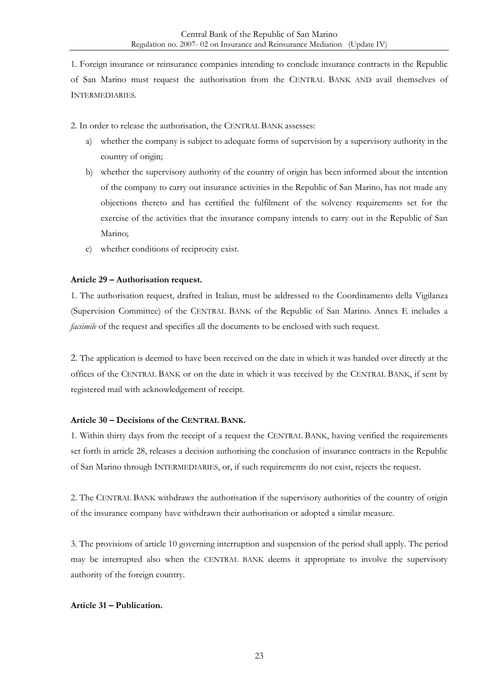1. Foreign insurance or reinsurance companies intending to conclude insurance contracts in the Republic of San Marino must request the authorisation from the CENTRAL BANK AND avail themselves of INTERMEDIARIES.

2. In order to release the authorisation, the CENTRAL BANK assesses:

- a) whether the company is subject to adequate forms of supervision by a supervisory authority in the country of origin;
- b) whether the supervisory authority of the country of origin has been informed about the intention of the company to carry out insurance activities in the Republic of San Marino, has not made any objections thereto and has certified the fulfilment of the solvency requirements set for the exercise of the activities that the insurance company intends to carry out in the Republic of San Marino;
- c) whether conditions of reciprocity exist.

#### <span id="page-22-0"></span>**Article 29 – Authorisation request.**

1. The authorisation request, drafted in Italian, must be addressed to the Coordinamento della Vigilanza (Supervision Committee) of the CENTRAL BANK of the Republic of San Marino. Annex E includes a *facsimile* of the request and specifies all the documents to be enclosed with such request.

2. The application is deemed to have been received on the date in which it was handed over directly at the offices of the CENTRAL BANK or on the date in which it was received by the CENTRAL BANK, if sent by registered mail with acknowledgement of receipt.

#### <span id="page-22-1"></span>**Article 30 – Decisions of the CENTRAL BANK.**

1. Within thirty days from the receipt of a request the CENTRAL BANK, having verified the requirements set forth in article 28, releases a decision authorising the conclusion of insurance contracts in the Republic of San Marino through INTERMEDIARIES, or, if such requirements do not exist, rejects the request.

2. The CENTRAL BANK withdraws the authorisation if the supervisory authorities of the country of origin of the insurance company have withdrawn their authorisation or adopted a similar measure.

3. The provisions of article 10 governing interruption and suspension of the period shall apply. The period may be interrupted also when the CENTRAL BANK deems it appropriate to involve the supervisory authority of the foreign country.

#### <span id="page-22-2"></span>**Article 31 – Publication.**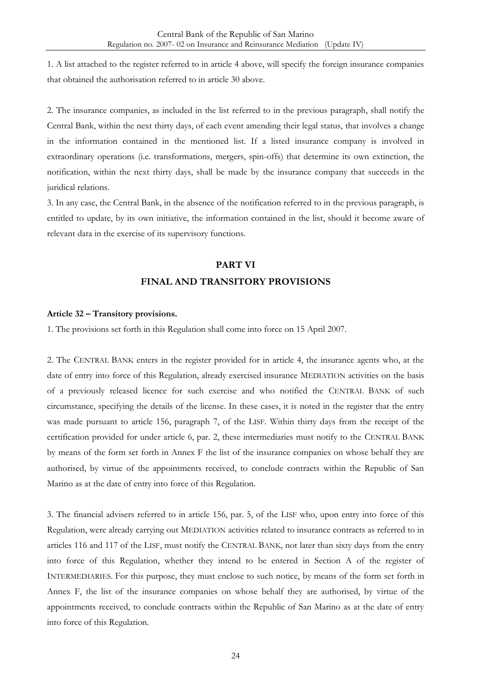1. A list attached to the register referred to in article 4 above, will specify the foreign insurance companies that obtained the authorisation referred to in article 30 above.

2. The insurance companies, as included in the list referred to in the previous paragraph, shall notify the Central Bank, within the next thirty days, of each event amending their legal status, that involves a change in the information contained in the mentioned list. If a listed insurance company is involved in extraordinary operations (i.e. transformations, mergers, spin-offs) that determine its own extinction, the notification, within the next thirty days, shall be made by the insurance company that succeeds in the juridical relations.

3. In any case, the Central Bank, in the absence of the notification referred to in the previous paragraph, is entitled to update, by its own initiative, the information contained in the list, should it become aware of relevant data in the exercise of its supervisory functions.

## **PART VI FINAL AND TRANSITORY PROVISIONS**

#### <span id="page-23-1"></span><span id="page-23-0"></span>**Article 32 – Transitory provisions.**

1. The provisions set forth in this Regulation shall come into force on 15 April 2007.

2. The CENTRAL BANK enters in the register provided for in article 4, the insurance agents who, at the date of entry into force of this Regulation, already exercised insurance MEDIATION activities on the basis of a previously released licence for such exercise and who notified the CENTRAL BANK of such circumstance, specifying the details of the license. In these cases, it is noted in the register that the entry was made pursuant to article 156, paragraph 7, of the LISF. Within thirty days from the receipt of the certification provided for under article 6, par. 2, these intermediaries must notify to the CENTRAL BANK by means of the form set forth in Annex F the list of the insurance companies on whose behalf they are authorised, by virtue of the appointments received, to conclude contracts within the Republic of San Marino as at the date of entry into force of this Regulation.

3. The financial advisers referred to in article 156, par. 5, of the LISF who, upon entry into force of this Regulation, were already carrying out MEDIATION activities related to insurance contracts as referred to in articles 116 and 117 of the LISF, must notify the CENTRAL BANK, not later than sixty days from the entry into force of this Regulation, whether they intend to be entered in Section A of the register of INTERMEDIARIES. For this purpose, they must enclose to such notice, by means of the form set forth in Annex F, the list of the insurance companies on whose behalf they are authorised, by virtue of the appointments received, to conclude contracts within the Republic of San Marino as at the date of entry into force of this Regulation.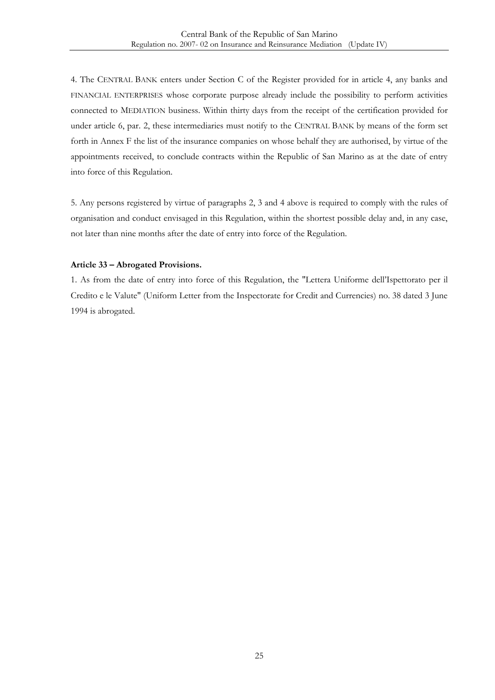4. The CENTRAL BANK enters under Section C of the Register provided for in article 4, any banks and FINANCIAL ENTERPRISES whose corporate purpose already include the possibility to perform activities connected to MEDIATION business. Within thirty days from the receipt of the certification provided for under article 6, par. 2, these intermediaries must notify to the CENTRAL BANK by means of the form set forth in Annex F the list of the insurance companies on whose behalf they are authorised, by virtue of the appointments received, to conclude contracts within the Republic of San Marino as at the date of entry into force of this Regulation.

5. Any persons registered by virtue of paragraphs 2, 3 and 4 above is required to comply with the rules of organisation and conduct envisaged in this Regulation, within the shortest possible delay and, in any case, not later than nine months after the date of entry into force of the Regulation.

#### <span id="page-24-0"></span>**Article 33 – Abrogated Provisions.**

1. As from the date of entry into force of this Regulation, the "Lettera Uniforme dell'Ispettorato per il Credito e le Valute" (Uniform Letter from the Inspectorate for Credit and Currencies) no. 38 dated 3 June 1994 is abrogated.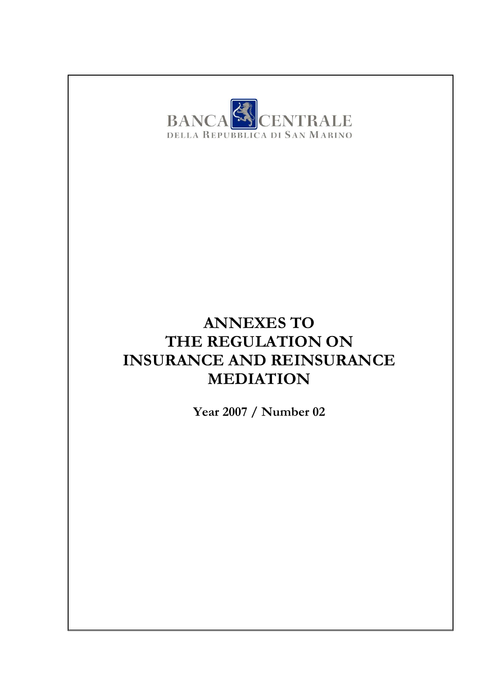

## **ANNEXES TO THE REGULATION ON INSURANCE AND REINSURANCE MEDIATION**

**Year 2007 / Number 02**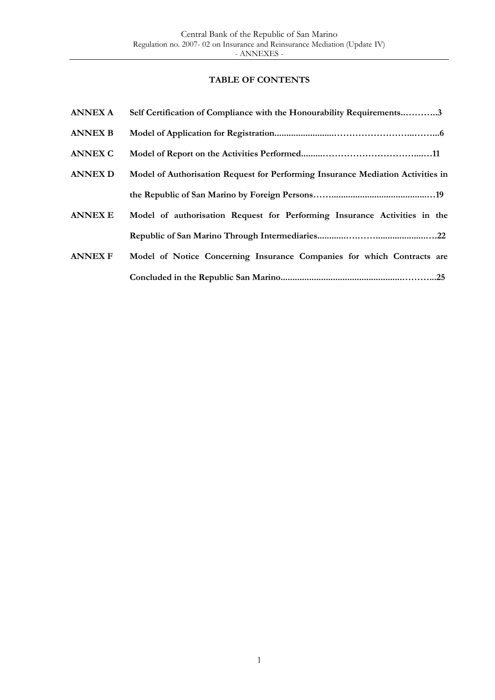### **TABLE OF CONTENTS**

| <b>ANNEX A</b> | Self Certification of Compliance with the Honourability Requirements3           |
|----------------|---------------------------------------------------------------------------------|
| <b>ANNEX B</b> |                                                                                 |
| <b>ANNEX C</b> |                                                                                 |
| <b>ANNEX D</b> | Model of Authorisation Request for Performing Insurance Mediation Activities in |
|                |                                                                                 |
| <b>ANNEX E</b> | Model of authorisation Request for Performing Insurance Activities in the       |
|                |                                                                                 |
| <b>ANNEX F</b> | Model of Notice Concerning Insurance Companies for which Contracts are          |
|                |                                                                                 |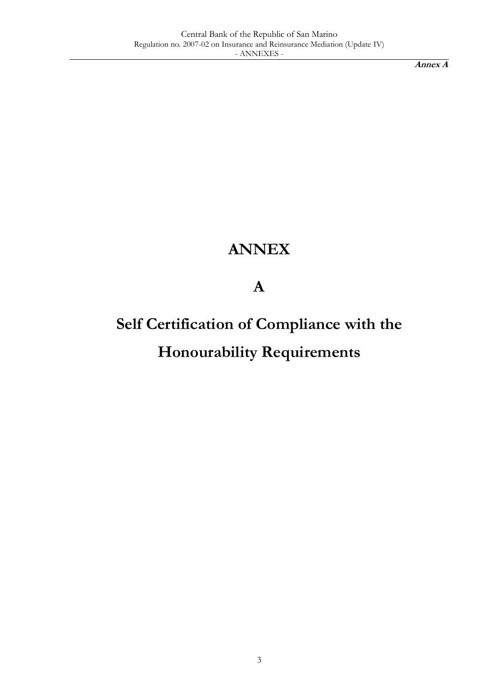**Annex A**

## **ANNEX**

**A**

# **Self Certification of Compliance with the Honourability Requirements**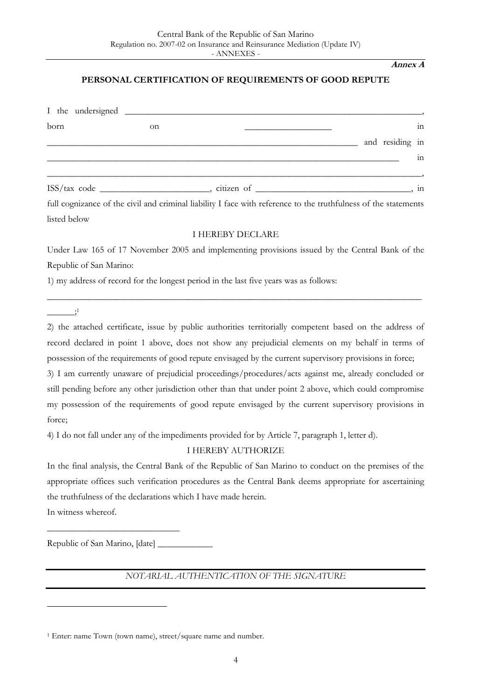#### **Annex A**

#### **PERSONAL CERTIFICATION OF REQUIREMENTS OF GOOD REPUTE**

| born | on |                 | $\overline{\text{in}}$ |
|------|----|-----------------|------------------------|
|      |    | and residing in |                        |
|      |    |                 | $\overline{\text{in}}$ |
|      |    |                 |                        |
|      |    | citizen of      | in                     |

full cognizance of the civil and criminal liability I face with reference to the truthfulness of the statements listed below

#### I HEREBY DECLARE

Under Law 165 of 17 November 2005 and implementing provisions issued by the Central Bank of the Republic of San Marino:

\_\_\_\_\_\_\_\_\_\_\_\_\_\_\_\_\_\_\_\_\_\_\_\_\_\_\_\_\_\_\_\_\_\_\_\_\_\_\_\_\_\_\_\_\_\_\_\_\_\_\_\_\_\_\_\_\_\_\_\_\_\_\_\_\_\_\_\_\_\_\_\_\_\_\_\_\_\_\_\_\_\_

1) my address of record for the longest period in the last five years was as follows:

 $\ddot{\hspace{1cm}}$ 

2) the attached certificate, issue by public authorities territorially competent based on the address of record declared in point 1 above, does not show any prejudicial elements on my behalf in terms of possession of the requirements of good repute envisaged by the current supervisory provisions in force;

3) I am currently unaware of prejudicial proceedings/procedures/acts against me, already concluded or still pending before any other jurisdiction other than that under point 2 above, which could compromise my possession of the requirements of good repute envisaged by the current supervisory provisions in force;

4) I do not fall under any of the impediments provided for by Article 7, paragraph 1, letter d).

I HEREBY AUTHORIZE

In the final analysis, the Central Bank of the Republic of San Marino to conduct on the premises of the appropriate offices such verification procedures as the Central Bank deems appropriate for ascertaining the truthfulness of the declarations which I have made herein.

In witness whereof.

<u>.</u>

Republic of San Marino, [date] \_\_\_\_\_\_\_\_\_\_\_\_

\_\_\_\_\_\_\_\_\_\_\_\_\_\_\_\_\_\_\_\_\_\_\_\_\_\_\_\_\_

*NOTARIAL AUTHENTICATION OF THE SIGNATURE*

<sup>1</sup> Enter: name Town (town name), street/square name and number.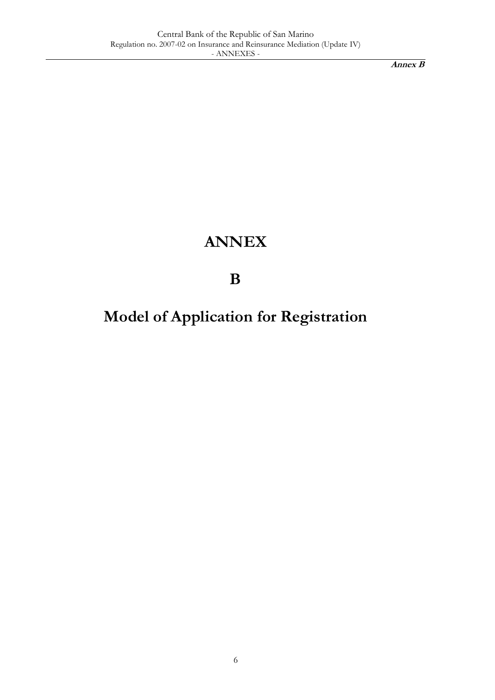## **ANNEX**

**B**

**Model of Application for Registration**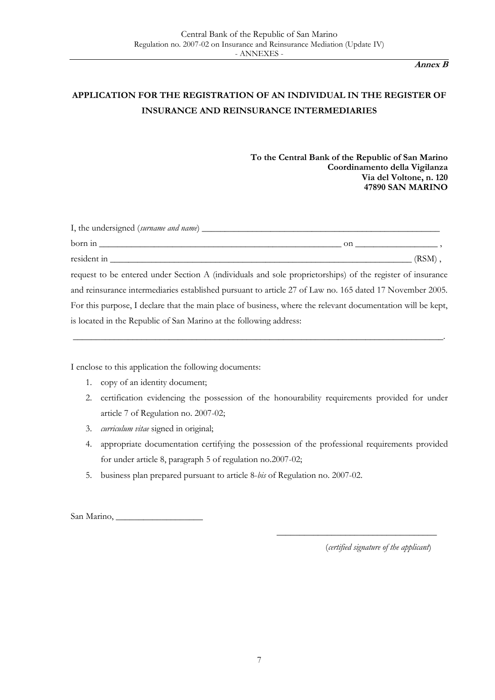## **APPLICATION FOR THE REGISTRATION OF AN INDIVIDUAL IN THE REGISTER OF INSURANCE AND REINSURANCE INTERMEDIARIES**

**To the Central Bank of the Republic of San Marino Coordinamento della Vigilanza Via del Voltone, n. 120 47890 SAN MARINO**

| I, the undersigned (surname and name) __________                                                          |           |
|-----------------------------------------------------------------------------------------------------------|-----------|
| born in                                                                                                   | on.       |
| resident in                                                                                               | $(RSM)$ . |
| request to be entered under Section A (individuals and sole proprietorships) of the register of insurance |           |

and reinsurance intermediaries established pursuant to article 27 of Law no. 165 dated 17 November 2005. For this purpose, I declare that the main place of business, where the relevant documentation will be kept, is located in the Republic of San Marino at the following address:

\_\_\_\_\_\_\_\_\_\_\_\_\_\_\_\_\_\_\_\_\_\_\_\_\_\_\_\_\_\_\_\_\_\_\_\_\_\_\_\_\_\_\_\_\_\_\_\_\_\_\_\_\_\_\_\_\_\_\_\_\_\_\_\_\_\_\_\_\_\_\_\_\_\_\_\_\_\_\_\_\_.

I enclose to this application the following documents:

- 1. copy of an identity document;
- 2. certification evidencing the possession of the honourability requirements provided for under article 7 of Regulation no. 2007-02;
- 3. *curriculum vitae* signed in original;
- 4. appropriate documentation certifying the possession of the professional requirements provided for under article 8, paragraph 5 of regulation no.2007-02;
- 5. business plan prepared pursuant to article 8-*bis* of Regulation no. 2007-02.

San Marino, \_\_\_\_\_\_\_\_\_\_\_\_\_\_\_\_\_\_\_

(*certified signature of the applicant*)

\_\_\_\_\_\_\_\_\_\_\_\_\_\_\_\_\_\_\_\_\_\_\_\_\_\_\_\_\_\_\_\_\_\_\_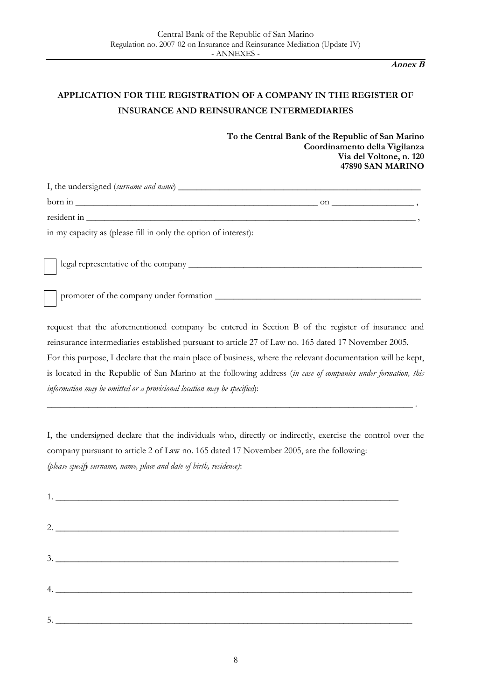## **APPLICATION FOR THE REGISTRATION OF A COMPANY IN THE REGISTER OF INSURANCE AND REINSURANCE INTERMEDIARIES**

**To the Central Bank of the Republic of San Marino Coordinamento della Vigilanza Via del Voltone, n. 120 47890 SAN MARINO**

| $born in _______$                                               | on $\qquad \qquad$ |
|-----------------------------------------------------------------|--------------------|
|                                                                 |                    |
| in my capacity as (please fill in only the option of interest): |                    |
|                                                                 |                    |
| promoter of the company under formation                         |                    |

request that the aforementioned company be entered in Section B of the register of insurance and reinsurance intermediaries established pursuant to article 27 of Law no. 165 dated 17 November 2005. For this purpose, I declare that the main place of business, where the relevant documentation will be kept, is located in the Republic of San Marino at the following address (*in case of companies under formation, this information may be omitted or a provisional location may be specified*):

I, the undersigned declare that the individuals who, directly or indirectly, exercise the control over the company pursuant to article 2 of Law no. 165 dated 17 November 2005, are the following: *(please specify surname, name, place and date of birth, residence)*:

\_\_\_\_\_\_\_\_\_\_\_\_\_\_\_\_\_\_\_\_\_\_\_\_\_\_\_\_\_\_\_\_\_\_\_\_\_\_\_\_\_\_\_\_\_\_\_\_\_\_\_\_\_\_\_\_\_\_\_\_\_\_\_\_\_\_\_\_\_\_\_\_\_\_\_\_\_\_\_\_ .

| 1. |  |
|----|--|
|    |  |
| 3. |  |
|    |  |
| 5. |  |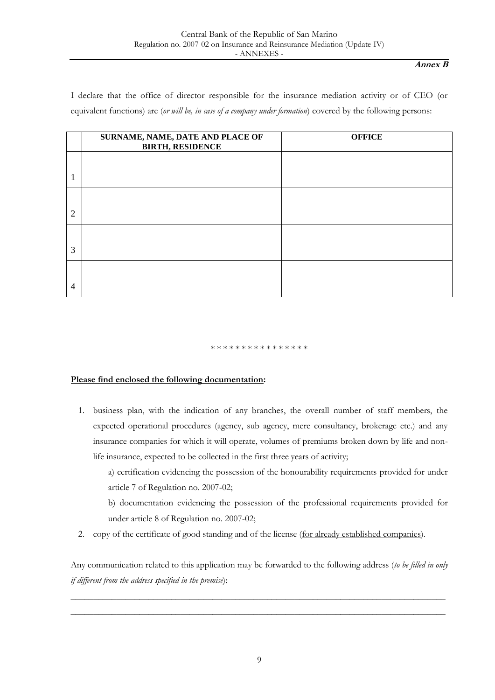I declare that the office of director responsible for the insurance mediation activity or of CEO (or equivalent functions) are (*or will be, in case of a company under formation*) covered by the following persons:

|                | SURNAME, NAME, DATE AND PLACE OF<br><b>BIRTH, RESIDENCE</b> | <b>OFFICE</b> |
|----------------|-------------------------------------------------------------|---------------|
|                |                                                             |               |
| $\overline{2}$ |                                                             |               |
| 3              |                                                             |               |
| $\overline{4}$ |                                                             |               |

#### \* \* \* \* \* \* \* \* \* \* \* \* \* \* \* \*

#### **Please find enclosed the following documentation:**

- 1. business plan, with the indication of any branches, the overall number of staff members, the expected operational procedures (agency, sub agency, mere consultancy, brokerage etc.) and any insurance companies for which it will operate, volumes of premiums broken down by life and nonlife insurance, expected to be collected in the first three years of activity;
	- a) certification evidencing the possession of the honourability requirements provided for under article 7 of Regulation no. 2007-02;
	- b) documentation evidencing the possession of the professional requirements provided for under article 8 of Regulation no. 2007-02;
- 2. copy of the certificate of good standing and of the license (for already established companies).

Any communication related to this application may be forwarded to the following address (*to be filled in only if different from the address specified in the premise*):

\_\_\_\_\_\_\_\_\_\_\_\_\_\_\_\_\_\_\_\_\_\_\_\_\_\_\_\_\_\_\_\_\_\_\_\_\_\_\_\_\_\_\_\_\_\_\_\_\_\_\_\_\_\_\_\_\_\_\_\_\_\_\_\_\_\_\_\_\_\_\_\_\_\_\_\_\_\_\_\_\_\_ \_\_\_\_\_\_\_\_\_\_\_\_\_\_\_\_\_\_\_\_\_\_\_\_\_\_\_\_\_\_\_\_\_\_\_\_\_\_\_\_\_\_\_\_\_\_\_\_\_\_\_\_\_\_\_\_\_\_\_\_\_\_\_\_\_\_\_\_\_\_\_\_\_\_\_\_\_\_\_\_\_\_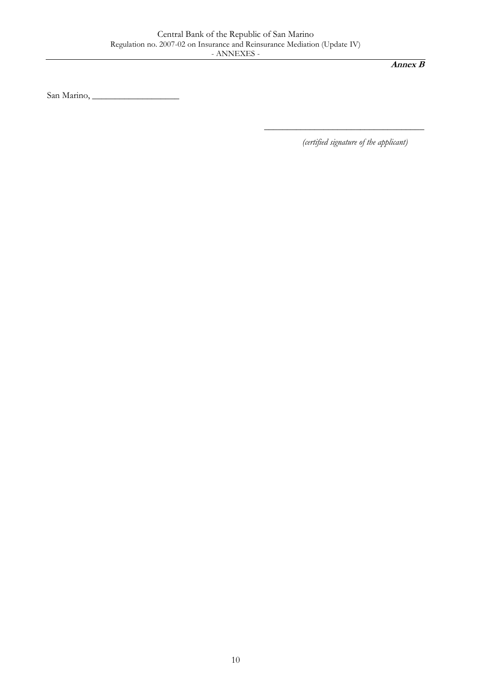San Marino, \_\_\_\_\_\_\_\_\_\_\_\_\_\_\_\_\_\_\_

*(certified signature of the applicant)*

\_\_\_\_\_\_\_\_\_\_\_\_\_\_\_\_\_\_\_\_\_\_\_\_\_\_\_\_\_\_\_\_\_\_\_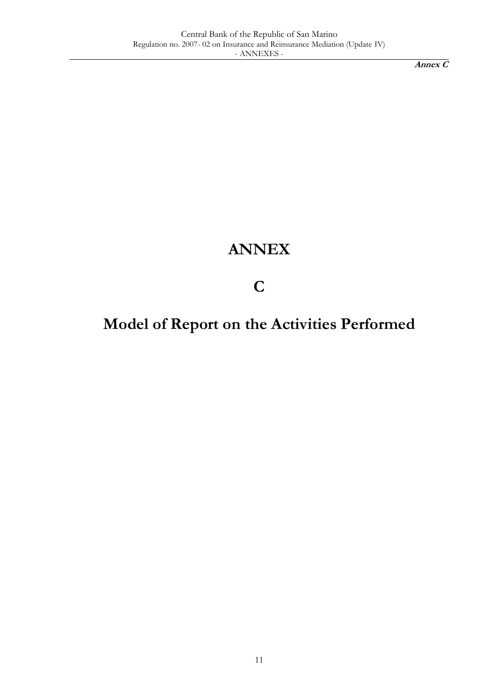## **ANNEX**

**C**

## **Model of Report on the Activities Performed**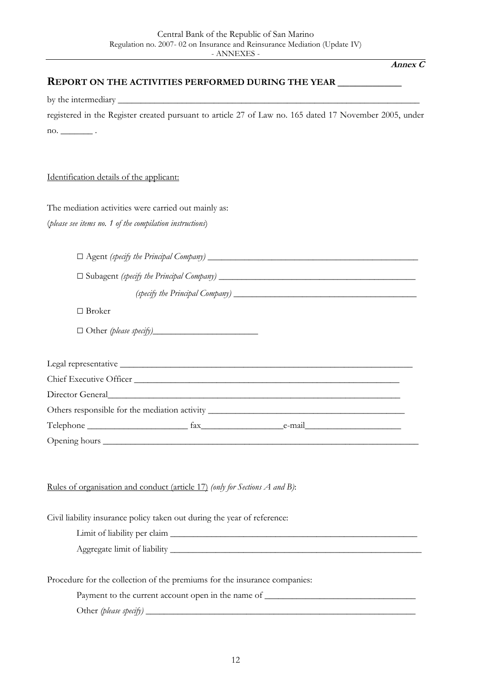#### **REPORT ON THE ACTIVITIES PERFORMED DURING THE YEAR \_\_\_\_\_\_\_\_\_\_\_**

by the intermediary \_\_\_\_\_\_\_\_\_\_\_\_\_\_\_\_\_\_\_\_\_\_\_\_\_\_\_\_\_\_\_\_\_\_\_\_\_\_\_\_\_\_\_\_\_\_\_\_\_\_\_\_\_\_\_\_\_\_\_\_\_\_\_\_\_\_

|                               | registered in the Register created pursuant to article 27 of Law no. 165 dated 17 November 2005, under |  |  |  |  |  |  |  |
|-------------------------------|--------------------------------------------------------------------------------------------------------|--|--|--|--|--|--|--|
| $\mathbf{n}$ . $\blacksquare$ |                                                                                                        |  |  |  |  |  |  |  |

#### Identification details of the applicant:

The mediation activities were carried out mainly as:

(*please see items no. 1 of the compilation instructions*)

| $\Box$ Agent (specify the Principal Company) |  |
|----------------------------------------------|--|
|----------------------------------------------|--|

□ Subagent *(specify the Principal Company)* \_\_\_\_\_\_\_\_\_\_\_\_\_\_\_\_\_\_\_\_\_\_\_\_\_\_\_\_\_\_\_\_\_\_\_\_\_\_\_\_\_\_\_

*(specify the Principal Company)* \_\_\_\_\_\_\_\_\_\_\_\_\_\_\_\_\_\_\_\_\_\_\_\_\_\_\_\_\_\_\_\_\_\_\_\_\_\_\_\_

□ Broker

 $\Box$  Other *(please specify)* 

| Chief Executive Officer                                                                                                                                                                                                        |                                                                                   |  |
|--------------------------------------------------------------------------------------------------------------------------------------------------------------------------------------------------------------------------------|-----------------------------------------------------------------------------------|--|
| Director General and the state of the state of the state of the state of the state of the state of the state of the state of the state of the state of the state of the state of the state of the state of the state of the st |                                                                                   |  |
|                                                                                                                                                                                                                                | Others responsible for the mediation activity ___________________________________ |  |
|                                                                                                                                                                                                                                | Telephone example fax example e-mail e-mail e-mail                                |  |
|                                                                                                                                                                                                                                |                                                                                   |  |

#### Rules of organisation and conduct (article 17) *(only for Sections A and B)*:

Civil liability insurance policy taken out during the year of reference:

Limit of liability per claim Aggregate limit of liability \_\_\_\_\_\_\_\_\_\_\_\_\_\_\_\_\_\_\_\_\_\_\_\_\_\_\_\_\_\_\_\_\_\_\_\_\_\_\_\_\_\_\_\_\_\_\_\_\_\_\_\_\_\_\_

Procedure for the collection of the premiums for the insurance companies:

| Payment to the current account open in the name of |  |
|----------------------------------------------------|--|
|----------------------------------------------------|--|

Other *(please specify)* \_\_\_\_\_\_\_\_\_\_\_\_\_\_\_\_\_\_\_\_\_\_\_\_\_\_\_\_\_\_\_\_\_\_\_\_\_\_\_\_\_\_\_\_\_\_\_\_\_\_\_\_\_\_\_\_\_\_\_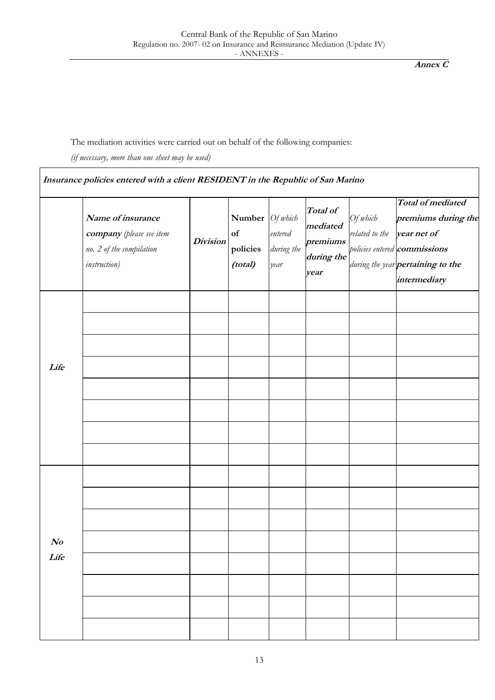### The mediation activities were carried out on behalf of the following companies:

*(if necessary, more than one sheet may be used)*

 $\overline{\phantom{a}}$ 

|                                    | Name of insurance<br>company (please see item<br>no. 2 of the compilation<br><i>instruction</i> ) | <b>Division</b> | <b>Number</b> $\big  \text{Of } \text{which} \big $<br>of<br>policies<br>(total) | entered<br>during the<br>year | Total of<br>mediated<br>premiums<br>during the<br>year | Of which<br>related to the | <b>Total of mediated</b><br>premiums during the<br>year net of<br>policies entered <b>commissions</b><br>during the year pertaining to the<br>intermediary |
|------------------------------------|---------------------------------------------------------------------------------------------------|-----------------|----------------------------------------------------------------------------------|-------------------------------|--------------------------------------------------------|----------------------------|------------------------------------------------------------------------------------------------------------------------------------------------------------|
| Life                               |                                                                                                   |                 |                                                                                  |                               |                                                        |                            |                                                                                                                                                            |
|                                    |                                                                                                   |                 |                                                                                  |                               |                                                        |                            |                                                                                                                                                            |
| $\boldsymbol{\mathit{No}}$<br>Life |                                                                                                   |                 |                                                                                  |                               |                                                        |                            |                                                                                                                                                            |
|                                    |                                                                                                   |                 |                                                                                  |                               |                                                        |                            |                                                                                                                                                            |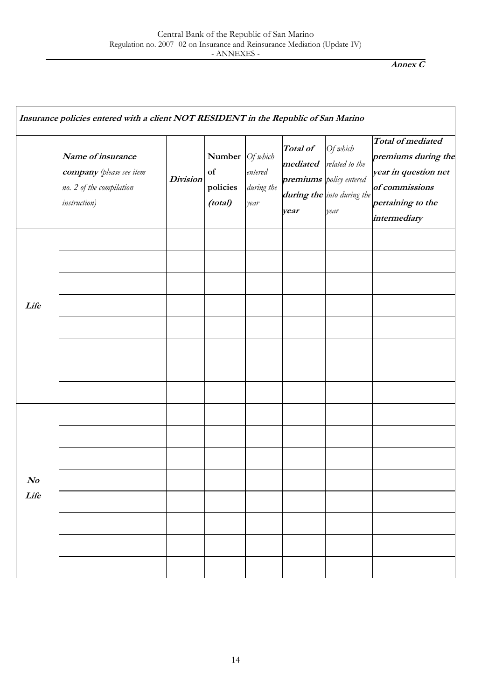|                  | Name of insurance<br>company (please see item<br>no. 2 of the compilation<br><i>instruction</i> ) | <b>Division</b> | Number Of which<br>of<br>policies<br>(total) | entered<br>during the<br>year | Total of<br>mediated<br>year | Of which<br>related to the<br>premiums policy entered<br>during the into during the<br>year | Total of mediated<br>premiums during the<br>year in question net<br>of commissions<br>pertaining to the<br>intermediary |
|------------------|---------------------------------------------------------------------------------------------------|-----------------|----------------------------------------------|-------------------------------|------------------------------|---------------------------------------------------------------------------------------------|-------------------------------------------------------------------------------------------------------------------------|
| Life             |                                                                                                   |                 |                                              |                               |                              |                                                                                             |                                                                                                                         |
| $\bm{N}$<br>Life |                                                                                                   |                 |                                              |                               |                              |                                                                                             |                                                                                                                         |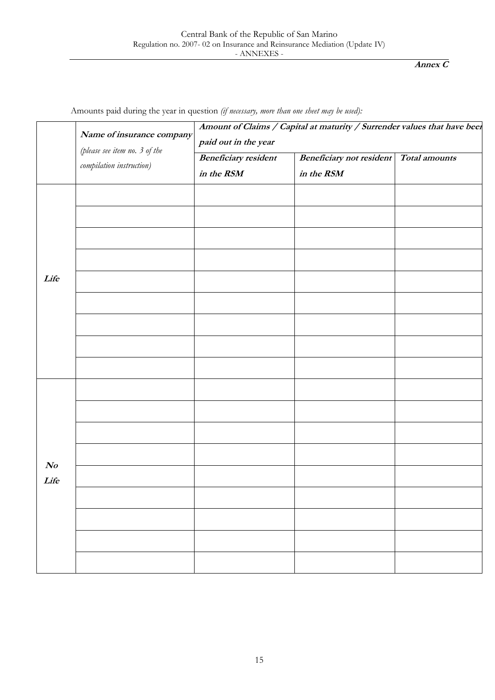|                        | Name of insurance company                                 | paid out in the year                      | Amount of Claims / Capital at maturity / Surrender values that have been |               |
|------------------------|-----------------------------------------------------------|-------------------------------------------|--------------------------------------------------------------------------|---------------|
|                        | (please see item no. 3 of the<br>compilation instruction) | <b>Beneficiary resident</b><br>in the RSM | <b>Beneficiary not resident</b><br>in the RSM                            | Total amounts |
| Life                   |                                                           |                                           |                                                                          |               |
|                        |                                                           |                                           |                                                                          |               |
|                        |                                                           |                                           |                                                                          |               |
|                        |                                                           |                                           |                                                                          |               |
| $\mathcal{N}o$<br>Life |                                                           |                                           |                                                                          |               |
|                        |                                                           |                                           |                                                                          |               |
|                        |                                                           |                                           |                                                                          |               |
|                        |                                                           |                                           |                                                                          |               |

Amounts paid during the year in question *(if necessary, more than one sheet may be used):*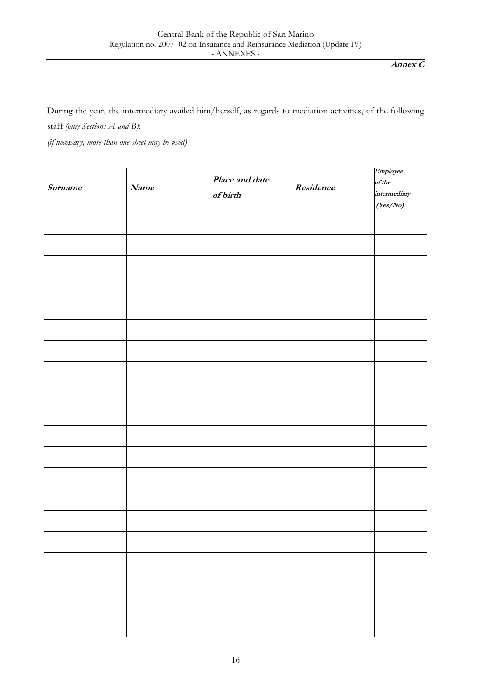During the year, the intermediary availed him/herself, as regards to mediation activities, of the following staff *(only Sections A and B)*:

*(if necessary, more than one sheet may be used)*

| Surname | Name | Place and date<br>$of$ birth | Residence | Employee<br>of the<br>intermediary<br>(Yes/No) |
|---------|------|------------------------------|-----------|------------------------------------------------|
|         |      |                              |           |                                                |
|         |      |                              |           |                                                |
|         |      |                              |           |                                                |
|         |      |                              |           |                                                |
|         |      |                              |           |                                                |
|         |      |                              |           |                                                |
|         |      |                              |           |                                                |
|         |      |                              |           |                                                |
|         |      |                              |           |                                                |
|         |      |                              |           |                                                |
|         |      |                              |           |                                                |
|         |      |                              |           |                                                |
|         |      |                              |           |                                                |
|         |      |                              |           |                                                |
|         |      |                              |           |                                                |
|         |      |                              |           |                                                |
|         |      |                              |           |                                                |
|         |      |                              |           |                                                |
|         |      |                              |           |                                                |
|         |      |                              |           |                                                |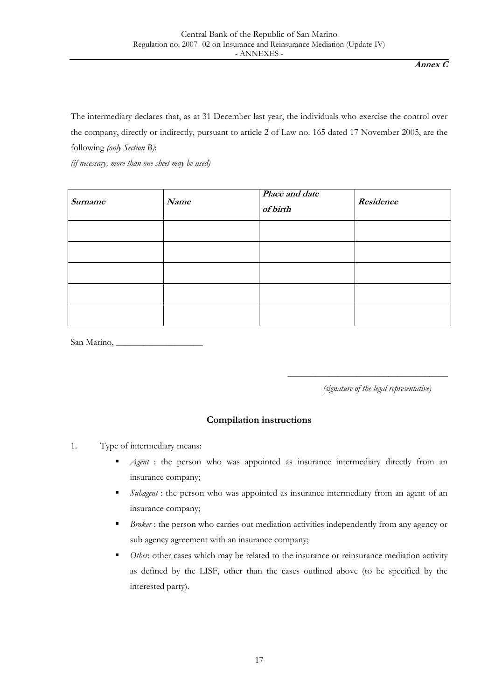The intermediary declares that, as at 31 December last year, the individuals who exercise the control over the company, directly or indirectly, pursuant to article 2 of Law no. 165 dated 17 November 2005, are the following *(only Section B)*:

*(if necessary, more than one sheet may be used)*

| Surname | Name | Place and date<br>of birth | Residence |
|---------|------|----------------------------|-----------|
|         |      |                            |           |
|         |      |                            |           |
|         |      |                            |           |
|         |      |                            |           |
|         |      |                            |           |

San Marino,

*(signature of the legal representative)*

\_\_\_\_\_\_\_\_\_\_\_\_\_\_\_\_\_\_\_\_\_\_\_\_\_\_\_\_\_\_\_\_\_\_\_

### **Compilation instructions**

- 1. Type of intermediary means:
	- **Agent : the person who was appointed as insurance intermediary directly from an** insurance company;
	- **Subagent : the person who was appointed as insurance intermediary from an agent of an** insurance company;
	- **Broker:** the person who carries out mediation activities independently from any agency or sub agency agreement with an insurance company;
	- **•** Other: other cases which may be related to the insurance or reinsurance mediation activity as defined by the LISF, other than the cases outlined above (to be specified by the interested party).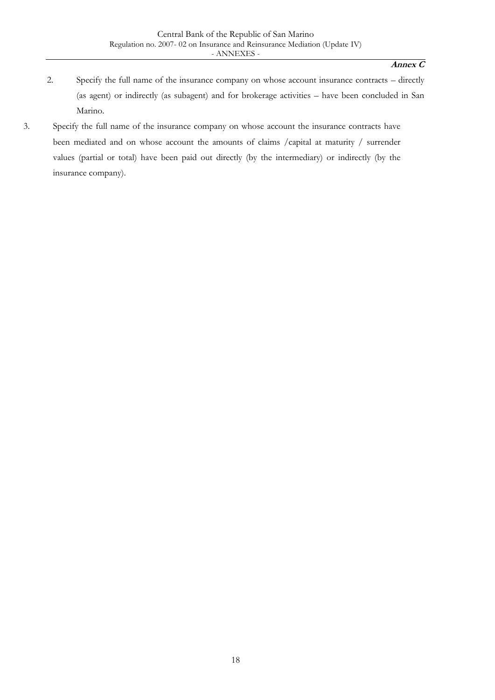- 2. Specify the full name of the insurance company on whose account insurance contracts directly (as agent) or indirectly (as subagent) and for brokerage activities – have been concluded in San Marino.
- 3. Specify the full name of the insurance company on whose account the insurance contracts have been mediated and on whose account the amounts of claims /capital at maturity / surrender values (partial or total) have been paid out directly (by the intermediary) or indirectly (by the insurance company).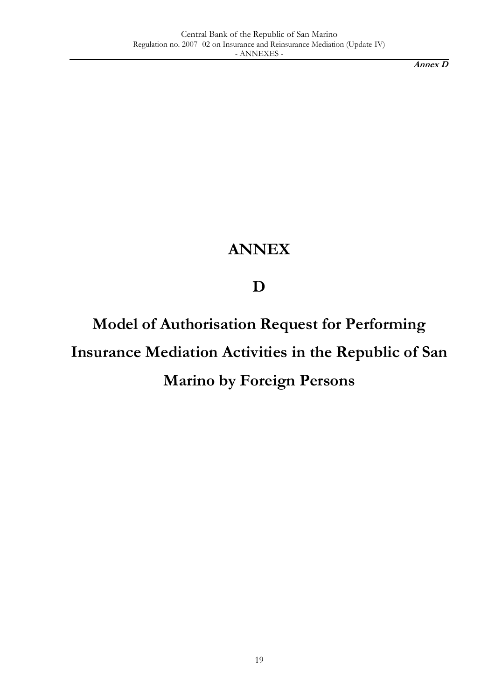**Annex D**

## **ANNEX**

**D**

**Model of Authorisation Request for Performing Insurance Mediation Activities in the Republic of San Marino by Foreign Persons**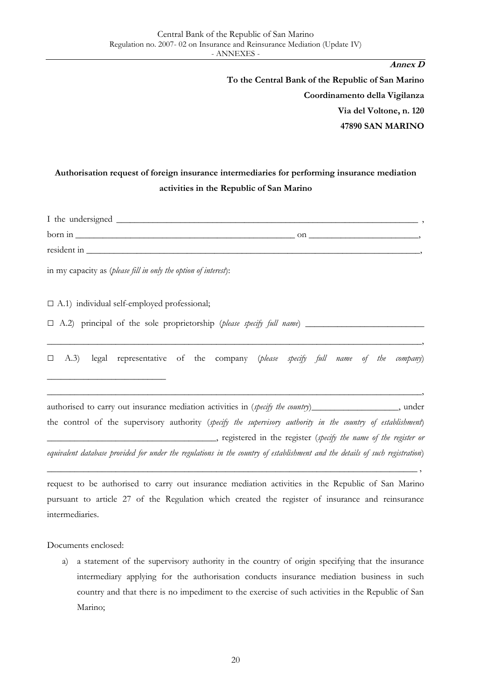**Annex D To the Central Bank of the Republic of San Marino Coordinamento della Vigilanza Via del Voltone, n. 120 47890 SAN MARINO**

### **Authorisation request of foreign insurance intermediaries for performing insurance mediation activities in the Republic of San Marino**

| I the undersigned |    |
|-------------------|----|
| born in           | on |
| resident in       |    |

in my capacity as (*please fill in only the option of interest*):

 $\Box$  A.1) individual self-employed professional;

\_\_\_\_\_\_\_\_\_\_\_\_\_\_\_\_\_\_\_\_\_\_\_\_\_\_

 $\Box$  A.2) principal of the sole proprietorship (*please specify full name*)

□ A.3) legal representative of the company (*please specify full name of the company*)

\_\_\_\_\_\_\_\_\_\_\_\_\_\_\_\_\_\_\_\_\_\_\_\_\_\_\_\_\_\_\_\_\_\_\_\_\_\_\_\_\_\_\_\_\_\_\_\_\_\_\_\_\_\_\_\_\_\_\_\_\_\_\_\_\_\_\_\_\_\_\_\_\_\_\_\_\_\_\_\_\_\_,

\_\_\_\_\_\_\_\_\_\_\_\_\_\_\_\_\_\_\_\_\_\_\_\_\_\_\_\_\_\_\_\_\_\_\_\_\_\_\_\_\_\_\_\_\_\_\_\_\_\_\_\_\_\_\_\_\_\_\_\_\_\_\_\_\_\_\_\_\_\_\_\_\_\_\_\_\_\_\_\_\_\_,

authorised to carry out insurance mediation activities in (*specify the country*)\_\_\_\_\_\_\_\_\_\_\_\_\_\_\_\_, under the control of the supervisory authority (*specify the supervisory authority in the country of establishment*) \_\_\_\_\_\_\_\_\_\_\_\_\_\_\_\_\_\_\_\_\_\_\_\_\_\_\_\_\_\_\_\_\_\_\_\_\_, registered in the register (*specify the name of the register or equivalent database provided for under the regulations in the country of establishment and the details of such registration*)

request to be authorised to carry out insurance mediation activities in the Republic of San Marino pursuant to article 27 of the Regulation which created the register of insurance and reinsurance intermediaries.

\_\_\_\_\_\_\_\_\_\_\_\_\_\_\_\_\_\_\_\_\_\_\_\_\_\_\_\_\_\_\_\_\_\_\_\_\_\_\_\_\_\_\_\_\_\_\_\_\_\_\_\_\_\_\_\_\_\_\_\_\_\_\_\_\_\_\_\_\_\_\_\_\_\_\_\_\_\_\_\_\_ ,

Documents enclosed:

a) a statement of the supervisory authority in the country of origin specifying that the insurance intermediary applying for the authorisation conducts insurance mediation business in such country and that there is no impediment to the exercise of such activities in the Republic of San Marino;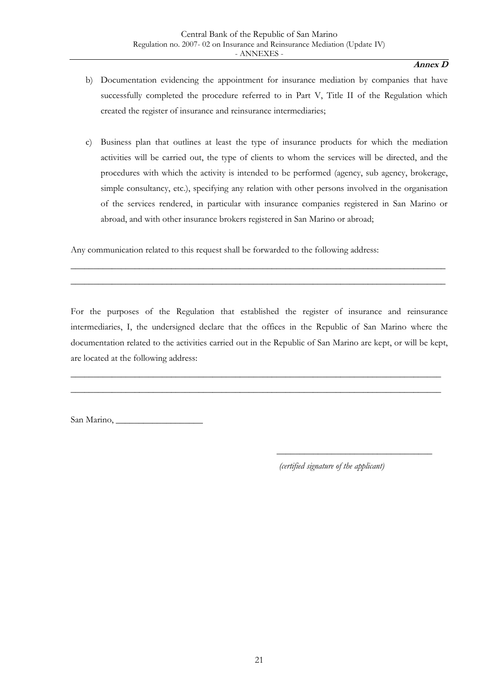#### **Annex D**

- b) Documentation evidencing the appointment for insurance mediation by companies that have successfully completed the procedure referred to in Part V, Title II of the Regulation which created the register of insurance and reinsurance intermediaries;
- c) Business plan that outlines at least the type of insurance products for which the mediation activities will be carried out, the type of clients to whom the services will be directed, and the procedures with which the activity is intended to be performed (agency, sub agency, brokerage, simple consultancy, etc.), specifying any relation with other persons involved in the organisation of the services rendered, in particular with insurance companies registered in San Marino or abroad, and with other insurance brokers registered in San Marino or abroad;

Any communication related to this request shall be forwarded to the following address:

For the purposes of the Regulation that established the register of insurance and reinsurance intermediaries, I, the undersigned declare that the offices in the Republic of San Marino where the documentation related to the activities carried out in the Republic of San Marino are kept, or will be kept, are located at the following address:

\_\_\_\_\_\_\_\_\_\_\_\_\_\_\_\_\_\_\_\_\_\_\_\_\_\_\_\_\_\_\_\_\_\_\_\_\_\_\_\_\_\_\_\_\_\_\_\_\_\_\_\_\_\_\_\_\_\_\_\_\_\_\_\_\_\_\_\_\_\_\_\_\_\_\_\_\_\_\_\_\_ \_\_\_\_\_\_\_\_\_\_\_\_\_\_\_\_\_\_\_\_\_\_\_\_\_\_\_\_\_\_\_\_\_\_\_\_\_\_\_\_\_\_\_\_\_\_\_\_\_\_\_\_\_\_\_\_\_\_\_\_\_\_\_\_\_\_\_\_\_\_\_\_\_\_\_\_\_\_\_\_\_

\_\_\_\_\_\_\_\_\_\_\_\_\_\_\_\_\_\_\_\_\_\_\_\_\_\_\_\_\_\_\_\_\_\_\_\_\_\_\_\_\_\_\_\_\_\_\_\_\_\_\_\_\_\_\_\_\_\_\_\_\_\_\_\_\_\_\_\_\_\_\_\_\_\_\_\_\_\_\_\_\_\_ \_\_\_\_\_\_\_\_\_\_\_\_\_\_\_\_\_\_\_\_\_\_\_\_\_\_\_\_\_\_\_\_\_\_\_\_\_\_\_\_\_\_\_\_\_\_\_\_\_\_\_\_\_\_\_\_\_\_\_\_\_\_\_\_\_\_\_\_\_\_\_\_\_\_\_\_\_\_\_\_\_\_

San Marino,

*(certified signature of the applicant)*

\_\_\_\_\_\_\_\_\_\_\_\_\_\_\_\_\_\_\_\_\_\_\_\_\_\_\_\_\_\_\_\_\_\_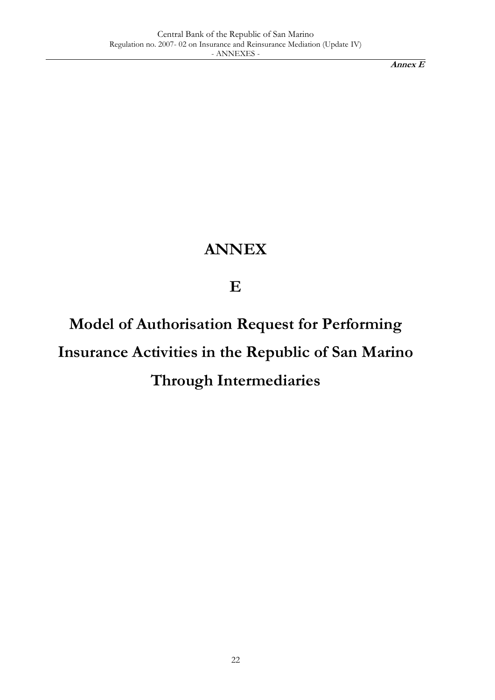**Annex E**

## **ANNEX**

**E**

**Model of Authorisation Request for Performing Insurance Activities in the Republic of San Marino Through Intermediaries**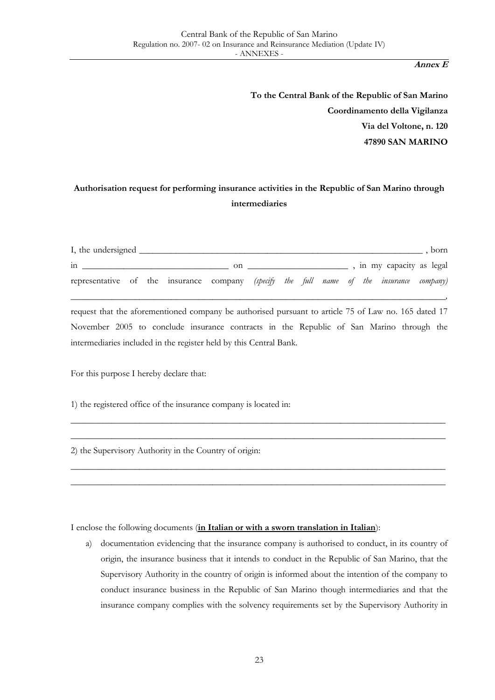**Annex E**

**To the Central Bank of the Republic of San Marino Coordinamento della Vigilanza Via del Voltone, n. 120 47890 SAN MARINO**

### **Authorisation request for performing insurance activities in the Republic of San Marino through intermediaries**

| I, the undersigned                                                                       |  |    |  |  |  |                           | born |
|------------------------------------------------------------------------------------------|--|----|--|--|--|---------------------------|------|
| 1n                                                                                       |  | on |  |  |  | , in my capacity as legal |      |
| representative of the insurance company (specify the full name of the insurance company) |  |    |  |  |  |                           |      |

*\_\_\_\_\_\_\_\_\_\_\_\_\_\_\_\_\_\_\_\_\_\_\_\_\_\_\_\_\_\_\_\_\_\_\_\_\_\_\_\_\_\_\_\_\_\_\_\_\_\_\_\_\_\_\_\_\_\_\_\_\_\_\_\_\_\_\_\_\_\_\_\_\_\_\_\_\_\_\_\_\_\_,*

request that the aforementioned company be authorised pursuant to article 75 of Law no. 165 dated 17 November 2005 to conclude insurance contracts in the Republic of San Marino through the intermediaries included in the register held by this Central Bank.

\_\_\_\_\_\_\_\_\_\_\_\_\_\_\_\_\_\_\_\_\_\_\_\_\_\_\_\_\_\_\_\_\_\_\_\_\_\_\_\_\_\_\_\_\_\_\_\_\_\_\_\_\_\_\_\_\_\_\_\_\_\_\_\_\_\_\_\_\_\_\_\_\_\_\_\_\_\_\_\_\_\_ \_\_\_\_\_\_\_\_\_\_\_\_\_\_\_\_\_\_\_\_\_\_\_\_\_\_\_\_\_\_\_\_\_\_\_\_\_\_\_\_\_\_\_\_\_\_\_\_\_\_\_\_\_\_\_\_\_\_\_\_\_\_\_\_\_\_\_\_\_\_\_\_\_\_\_\_\_\_\_\_\_\_

\_\_\_\_\_\_\_\_\_\_\_\_\_\_\_\_\_\_\_\_\_\_\_\_\_\_\_\_\_\_\_\_\_\_\_\_\_\_\_\_\_\_\_\_\_\_\_\_\_\_\_\_\_\_\_\_\_\_\_\_\_\_\_\_\_\_\_\_\_\_\_\_\_\_\_\_\_\_\_\_\_\_ \_\_\_\_\_\_\_\_\_\_\_\_\_\_\_\_\_\_\_\_\_\_\_\_\_\_\_\_\_\_\_\_\_\_\_\_\_\_\_\_\_\_\_\_\_\_\_\_\_\_\_\_\_\_\_\_\_\_\_\_\_\_\_\_\_\_\_\_\_\_\_\_\_\_\_\_\_\_\_\_\_\_

For this purpose I hereby declare that:

1) the registered office of the insurance company is located in:

2) the Supervisory Authority in the Country of origin:

I enclose the following documents (**in Italian or with a sworn translation in Italian**):

a) documentation evidencing that the insurance company is authorised to conduct, in its country of origin, the insurance business that it intends to conduct in the Republic of San Marino, that the Supervisory Authority in the country of origin is informed about the intention of the company to conduct insurance business in the Republic of San Marino though intermediaries and that the insurance company complies with the solvency requirements set by the Supervisory Authority in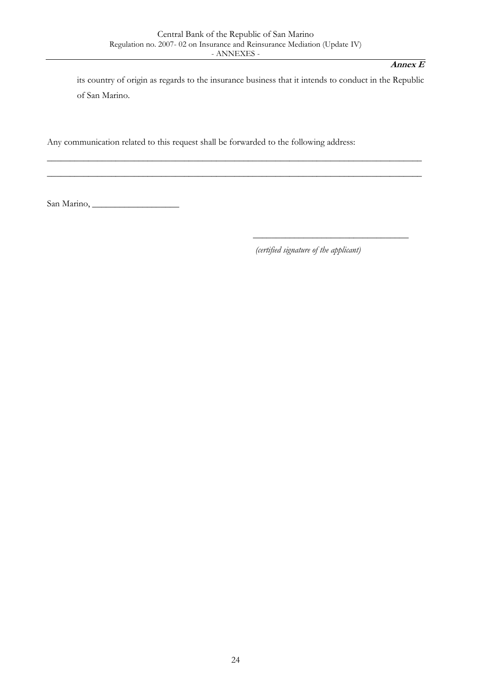\_\_\_\_\_\_\_\_\_\_\_\_\_\_\_\_\_\_\_\_\_\_\_\_\_\_\_\_\_\_\_\_\_\_\_\_\_\_\_\_\_\_\_\_\_\_\_\_\_\_\_\_\_\_\_\_\_\_\_\_\_\_\_\_\_\_\_\_\_\_\_\_\_\_\_\_\_\_\_\_\_\_ \_\_\_\_\_\_\_\_\_\_\_\_\_\_\_\_\_\_\_\_\_\_\_\_\_\_\_\_\_\_\_\_\_\_\_\_\_\_\_\_\_\_\_\_\_\_\_\_\_\_\_\_\_\_\_\_\_\_\_\_\_\_\_\_\_\_\_\_\_\_\_\_\_\_\_\_\_\_\_\_\_\_

#### **Annex E**

its country of origin as regards to the insurance business that it intends to conduct in the Republic of San Marino.

Any communication related to this request shall be forwarded to the following address:

San Marino, \_\_\_\_\_\_\_\_\_\_\_\_\_\_\_\_\_\_\_

*(certified signature of the applicant)*

\_\_\_\_\_\_\_\_\_\_\_\_\_\_\_\_\_\_\_\_\_\_\_\_\_\_\_\_\_\_\_\_\_\_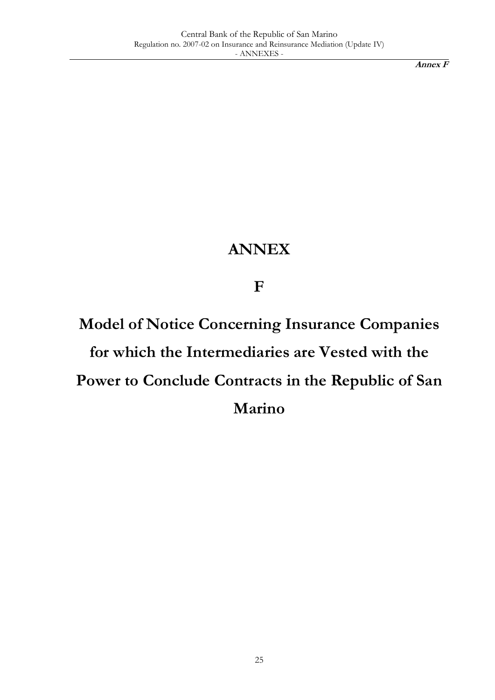**Annex F**

## **ANNEX**

**F**

**Model of Notice Concerning Insurance Companies for which the Intermediaries are Vested with the Power to Conclude Contracts in the Republic of San Marino**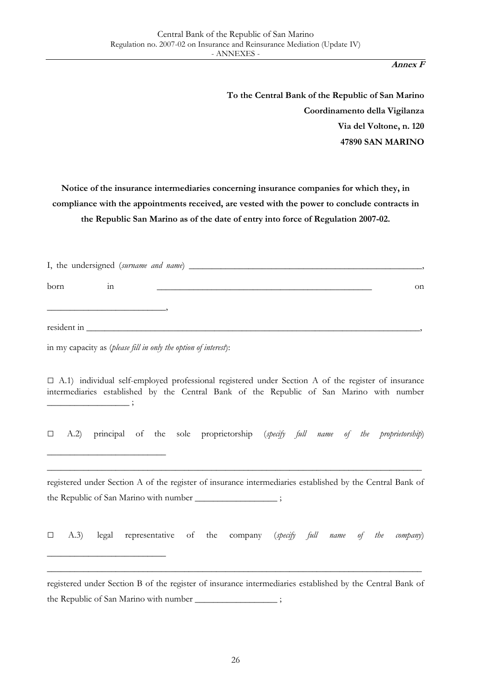**Annex F**

**To the Central Bank of the Republic of San Marino Coordinamento della Vigilanza Via del Voltone, n. 120 47890 SAN MARINO**

**Notice of the insurance intermediaries concerning insurance companies for which they, in compliance with the appointments received, are vested with the power to conclude contracts in the Republic San Marino as of the date of entry into force of Regulation 2007-02.**

| born        | 1n |                                                                                                                 | on |
|-------------|----|-----------------------------------------------------------------------------------------------------------------|----|
| resident in |    | the contract of the contract of the contract of the contract of the contract of the contract of the contract of |    |

in my capacity as (*please fill in only the option of interest*):

\_\_\_\_\_\_\_\_\_\_\_\_\_\_\_\_\_\_\_\_\_\_\_\_\_\_

\_\_\_\_\_\_\_\_\_\_\_\_\_\_\_\_\_\_\_\_\_\_\_\_\_\_

□ A.1) individual self-employed professional registered under Section A of the register of insurance intermediaries established by the Central Bank of the Republic of San Marino with number  $\overline{\phantom{a}}$  ;

□ A.2) principal of the sole proprietorship (*specify full name of the proprietorship*)

registered under Section A of the register of insurance intermediaries established by the Central Bank of the Republic of San Marino with number \_\_\_\_\_\_\_\_\_\_\_\_\_\_\_\_\_\_ ;

\_\_\_\_\_\_\_\_\_\_\_\_\_\_\_\_\_\_\_\_\_\_\_\_\_\_\_\_\_\_\_\_\_\_\_\_\_\_\_\_\_\_\_\_\_\_\_\_\_\_\_\_\_\_\_\_\_\_\_\_\_\_\_\_\_\_\_\_\_\_\_\_\_\_\_\_\_\_\_\_\_\_

□ A.3) legal representative of the company (*specify full name of the company*)

registered under Section B of the register of insurance intermediaries established by the Central Bank of the Republic of San Marino with number  $\cdot$ 

\_\_\_\_\_\_\_\_\_\_\_\_\_\_\_\_\_\_\_\_\_\_\_\_\_\_\_\_\_\_\_\_\_\_\_\_\_\_\_\_\_\_\_\_\_\_\_\_\_\_\_\_\_\_\_\_\_\_\_\_\_\_\_\_\_\_\_\_\_\_\_\_\_\_\_\_\_\_\_\_\_\_